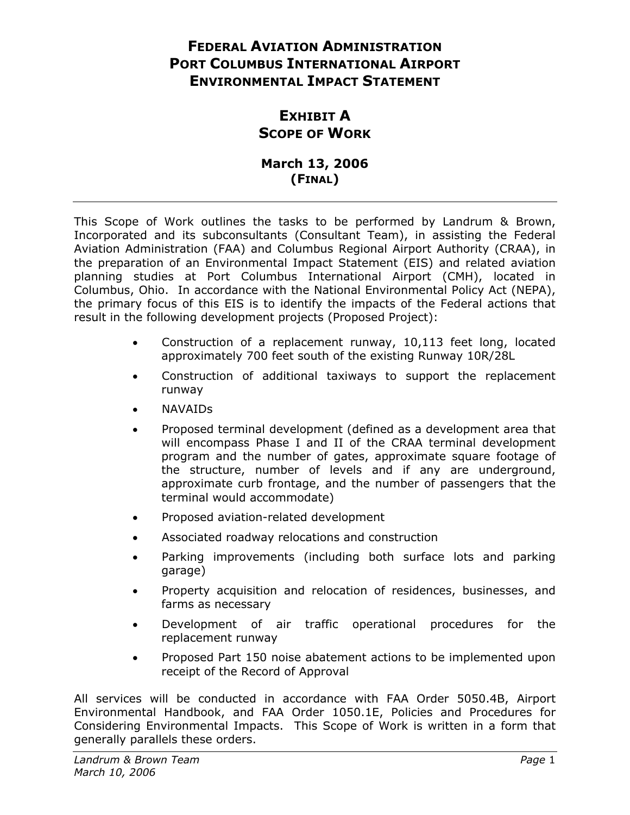# **FEDERAL AVIATION ADMINISTRATION PORT COLUMBUS INTERNATIONAL AIRPORT ENVIRONMENTAL IMPACT STATEMENT**

# **EXHIBIT A SCOPE OF WORK**

## **March 13, 2006 (FINAL)**

This Scope of Work outlines the tasks to be performed by Landrum & Brown, Incorporated and its subconsultants (Consultant Team), in assisting the Federal Aviation Administration (FAA) and Columbus Regional Airport Authority (CRAA), in the preparation of an Environmental Impact Statement (EIS) and related aviation planning studies at Port Columbus International Airport (CMH), located in Columbus, Ohio. In accordance with the National Environmental Policy Act (NEPA), the primary focus of this EIS is to identify the impacts of the Federal actions that result in the following development projects (Proposed Project):

- Construction of a replacement runway, 10,113 feet long, located approximately 700 feet south of the existing Runway 10R/28L
- Construction of additional taxiways to support the replacement runway
- NAVAIDs
- Proposed terminal development (defined as a development area that will encompass Phase I and II of the CRAA terminal development program and the number of gates, approximate square footage of the structure, number of levels and if any are underground, approximate curb frontage, and the number of passengers that the terminal would accommodate)
- Proposed aviation-related development
- Associated roadway relocations and construction
- Parking improvements (including both surface lots and parking garage)
- Property acquisition and relocation of residences, businesses, and farms as necessary
- Development of air traffic operational procedures for the replacement runway
- Proposed Part 150 noise abatement actions to be implemented upon receipt of the Record of Approval

All services will be conducted in accordance with FAA Order 5050.4B, Airport Environmental Handbook, and FAA Order 1050.1E, Policies and Procedures for Considering Environmental Impacts. This Scope of Work is written in a form that generally parallels these orders.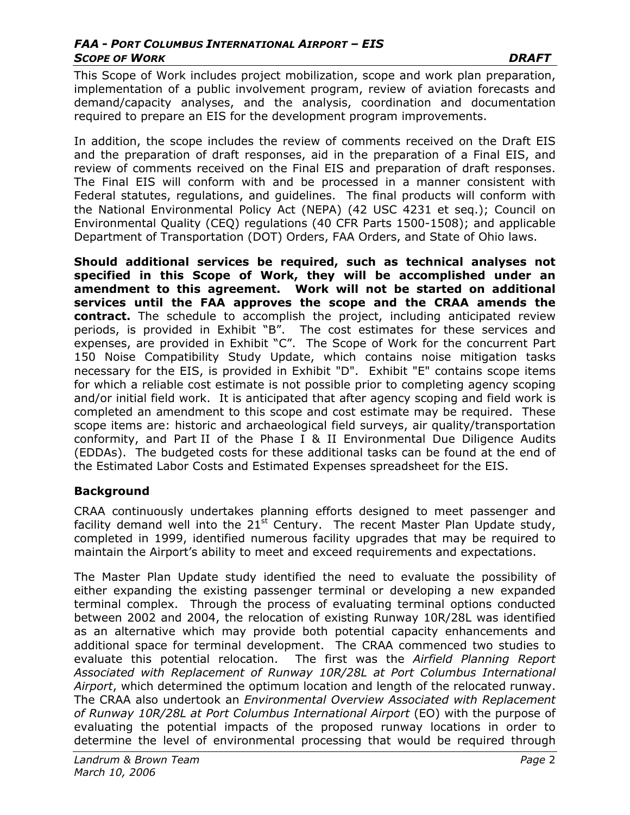This Scope of Work includes project mobilization, scope and work plan preparation, implementation of a public involvement program, review of aviation forecasts and demand/capacity analyses, and the analysis, coordination and documentation required to prepare an EIS for the development program improvements.

In addition, the scope includes the review of comments received on the Draft EIS and the preparation of draft responses, aid in the preparation of a Final EIS, and review of comments received on the Final EIS and preparation of draft responses. The Final EIS will conform with and be processed in a manner consistent with Federal statutes, regulations, and guidelines. The final products will conform with the National Environmental Policy Act (NEPA) (42 USC 4231 et seq.); Council on Environmental Quality (CEQ) regulations (40 CFR Parts 1500-1508); and applicable Department of Transportation (DOT) Orders, FAA Orders, and State of Ohio laws.

**Should additional services be required, such as technical analyses not specified in this Scope of Work, they will be accomplished under an amendment to this agreement. Work will not be started on additional services until the FAA approves the scope and the CRAA amends the contract.** The schedule to accomplish the project, including anticipated review periods, is provided in Exhibit "B". The cost estimates for these services and expenses, are provided in Exhibit "C". The Scope of Work for the concurrent Part 150 Noise Compatibility Study Update, which contains noise mitigation tasks necessary for the EIS, is provided in Exhibit "D". Exhibit "E" contains scope items for which a reliable cost estimate is not possible prior to completing agency scoping and/or initial field work. It is anticipated that after agency scoping and field work is completed an amendment to this scope and cost estimate may be required. These scope items are: historic and archaeological field surveys, air quality/transportation conformity, and Part II of the Phase I & II Environmental Due Diligence Audits (EDDAs). The budgeted costs for these additional tasks can be found at the end of the Estimated Labor Costs and Estimated Expenses spreadsheet for the EIS.

### **Background**

CRAA continuously undertakes planning efforts designed to meet passenger and facility demand well into the  $21^{st}$  Century. The recent Master Plan Update study, completed in 1999, identified numerous facility upgrades that may be required to maintain the Airport's ability to meet and exceed requirements and expectations.

The Master Plan Update study identified the need to evaluate the possibility of either expanding the existing passenger terminal or developing a new expanded terminal complex. Through the process of evaluating terminal options conducted between 2002 and 2004, the relocation of existing Runway 10R/28L was identified as an alternative which may provide both potential capacity enhancements and additional space for terminal development. The CRAA commenced two studies to evaluate this potential relocation. The first was the *Airfield Planning Report Associated with Replacement of Runway 10R/28L at Port Columbus International Airport*, which determined the optimum location and length of the relocated runway. The CRAA also undertook an *Environmental Overview Associated with Replacement of Runway 10R/28L at Port Columbus International Airport* (EO) with the purpose of evaluating the potential impacts of the proposed runway locations in order to determine the level of environmental processing that would be required through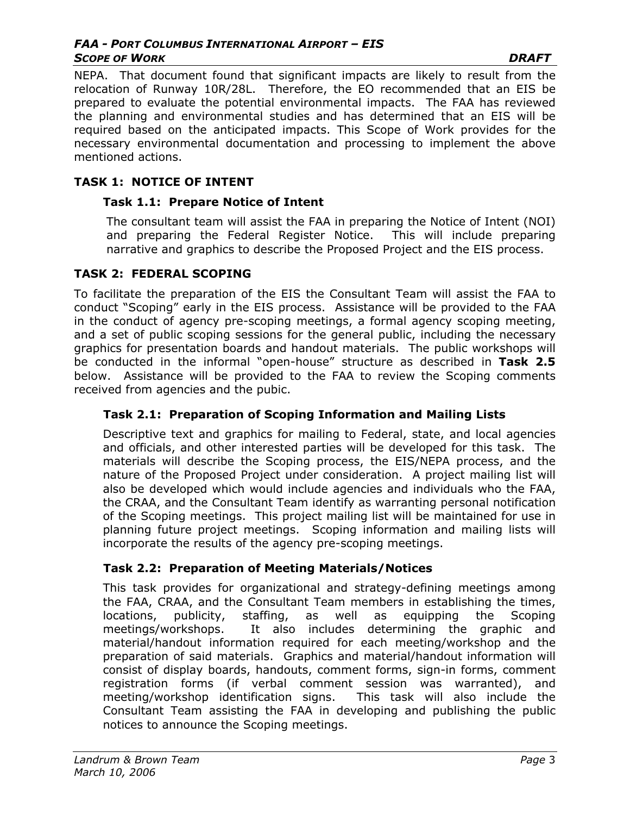#### *FAA - PORT COLUMBUS INTERNATIONAL AIRPORT – EIS*  **SCOPE OF WORK DRAFT**

NEPA. That document found that significant impacts are likely to result from the relocation of Runway 10R/28L. Therefore, the EO recommended that an EIS be prepared to evaluate the potential environmental impacts. The FAA has reviewed the planning and environmental studies and has determined that an EIS will be required based on the anticipated impacts. This Scope of Work provides for the necessary environmental documentation and processing to implement the above mentioned actions.

## **TASK 1: NOTICE OF INTENT**

## **Task 1.1: Prepare Notice of Intent**

The consultant team will assist the FAA in preparing the Notice of Intent (NOI) and preparing the Federal Register Notice. This will include preparing narrative and graphics to describe the Proposed Project and the EIS process.

## **TASK 2: FEDERAL SCOPING**

To facilitate the preparation of the EIS the Consultant Team will assist the FAA to conduct "Scoping" early in the EIS process. Assistance will be provided to the FAA in the conduct of agency pre-scoping meetings, a formal agency scoping meeting, and a set of public scoping sessions for the general public, including the necessary graphics for presentation boards and handout materials. The public workshops will be conducted in the informal "open-house" structure as described in **Task 2.5** below. Assistance will be provided to the FAA to review the Scoping comments received from agencies and the pubic.

## **Task 2.1: Preparation of Scoping Information and Mailing Lists**

Descriptive text and graphics for mailing to Federal, state, and local agencies and officials, and other interested parties will be developed for this task. The materials will describe the Scoping process, the EIS/NEPA process, and the nature of the Proposed Project under consideration. A project mailing list will also be developed which would include agencies and individuals who the FAA, the CRAA, and the Consultant Team identify as warranting personal notification of the Scoping meetings. This project mailing list will be maintained for use in planning future project meetings. Scoping information and mailing lists will incorporate the results of the agency pre-scoping meetings.

## **Task 2.2: Preparation of Meeting Materials/Notices**

This task provides for organizational and strategy-defining meetings among the FAA, CRAA, and the Consultant Team members in establishing the times, locations, publicity, staffing, as well as equipping the Scoping meetings/workshops. It also includes determining the graphic and material/handout information required for each meeting/workshop and the preparation of said materials. Graphics and material/handout information will consist of display boards, handouts, comment forms, sign-in forms, comment registration forms (if verbal comment session was warranted), and meeting/workshop identification signs. This task will also include the Consultant Team assisting the FAA in developing and publishing the public notices to announce the Scoping meetings.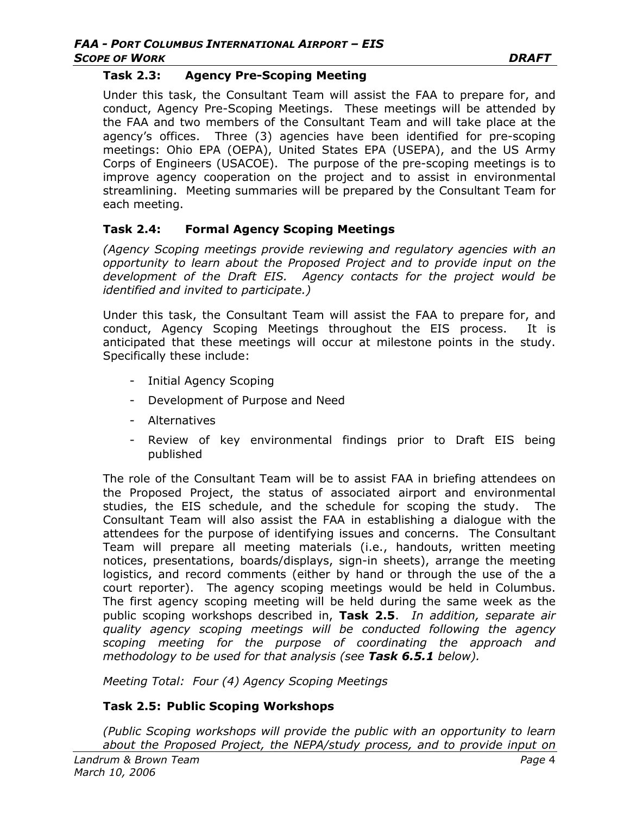#### **Task 2.3: Agency Pre-Scoping Meeting**

Under this task, the Consultant Team will assist the FAA to prepare for, and conduct, Agency Pre-Scoping Meetings. These meetings will be attended by the FAA and two members of the Consultant Team and will take place at the agency's offices. Three (3) agencies have been identified for pre-scoping meetings: Ohio EPA (OEPA), United States EPA (USEPA), and the US Army Corps of Engineers (USACOE). The purpose of the pre-scoping meetings is to improve agency cooperation on the project and to assist in environmental streamlining. Meeting summaries will be prepared by the Consultant Team for each meeting.

#### **Task 2.4: Formal Agency Scoping Meetings**

*(Agency Scoping meetings provide reviewing and regulatory agencies with an opportunity to learn about the Proposed Project and to provide input on the development of the Draft EIS. Agency contacts for the project would be identified and invited to participate.)*

Under this task, the Consultant Team will assist the FAA to prepare for, and conduct, Agency Scoping Meetings throughout the EIS process. It is anticipated that these meetings will occur at milestone points in the study. Specifically these include:

- Initial Agency Scoping
- Development of Purpose and Need
- Alternatives
- Review of key environmental findings prior to Draft EIS being published

The role of the Consultant Team will be to assist FAA in briefing attendees on the Proposed Project, the status of associated airport and environmental studies, the EIS schedule, and the schedule for scoping the study. The Consultant Team will also assist the FAA in establishing a dialogue with the attendees for the purpose of identifying issues and concerns. The Consultant Team will prepare all meeting materials (i.e., handouts, written meeting notices, presentations, boards/displays, sign-in sheets), arrange the meeting logistics, and record comments (either by hand or through the use of the a court reporter). The agency scoping meetings would be held in Columbus. The first agency scoping meeting will be held during the same week as the public scoping workshops described in, **Task 2.5**. *In addition, separate air quality agency scoping meetings will be conducted following the agency scoping meeting for the purpose of coordinating the approach and methodology to be used for that analysis (see Task 6.5.1 below).* 

*Meeting Total: Four (4) Agency Scoping Meetings*

### **Task 2.5: Public Scoping Workshops**

*(Public Scoping workshops will provide the public with an opportunity to learn about the Proposed Project, the NEPA/study process, and to provide input on*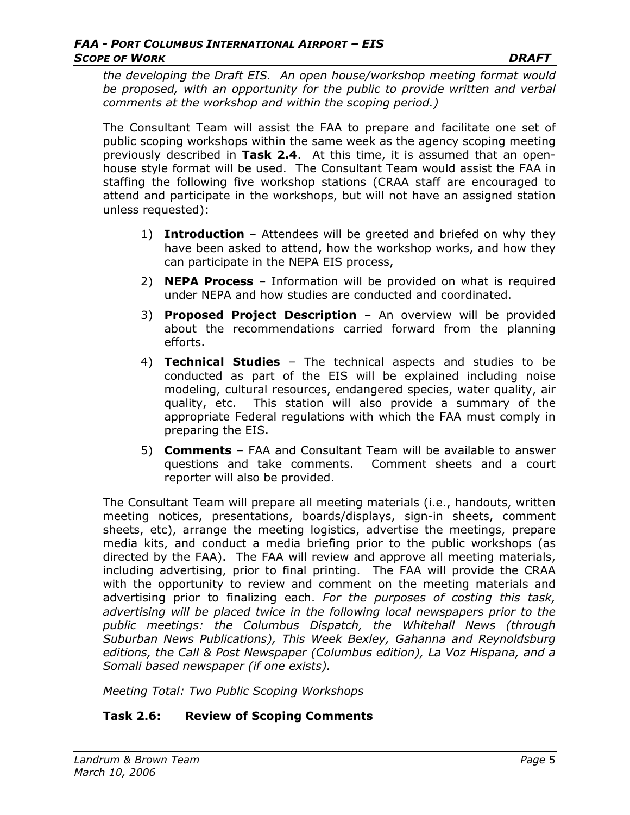*the developing the Draft EIS. An open house/workshop meeting format would*  be proposed, with an opportunity for the public to provide written and verbal *comments at the workshop and within the scoping period.)* 

The Consultant Team will assist the FAA to prepare and facilitate one set of public scoping workshops within the same week as the agency scoping meeting previously described in **Task 2.4**. At this time, it is assumed that an openhouse style format will be used. The Consultant Team would assist the FAA in staffing the following five workshop stations (CRAA staff are encouraged to attend and participate in the workshops, but will not have an assigned station unless requested):

- 1) **Introduction**  Attendees will be greeted and briefed on why they have been asked to attend, how the workshop works, and how they can participate in the NEPA EIS process,
- 2) **NEPA Process** Information will be provided on what is required under NEPA and how studies are conducted and coordinated.
- 3) **Proposed Project Description**  An overview will be provided about the recommendations carried forward from the planning efforts.
- 4) **Technical Studies** The technical aspects and studies to be conducted as part of the EIS will be explained including noise modeling, cultural resources, endangered species, water quality, air quality, etc. This station will also provide a summary of the appropriate Federal regulations with which the FAA must comply in preparing the EIS.
- 5) **Comments** FAA and Consultant Team will be available to answer questions and take comments. Comment sheets and a court reporter will also be provided.

The Consultant Team will prepare all meeting materials (i.e., handouts, written meeting notices, presentations, boards/displays, sign-in sheets, comment sheets, etc), arrange the meeting logistics, advertise the meetings, prepare media kits, and conduct a media briefing prior to the public workshops (as directed by the FAA). The FAA will review and approve all meeting materials, including advertising, prior to final printing. The FAA will provide the CRAA with the opportunity to review and comment on the meeting materials and advertising prior to finalizing each. *For the purposes of costing this task,*  advertising will be placed twice in the following local newspapers prior to the *public meetings: the Columbus Dispatch, the Whitehall News (through Suburban News Publications), This Week Bexley, Gahanna and Reynoldsburg editions, the Call & Post Newspaper (Columbus edition), La Voz Hispana, and a Somali based newspaper (if one exists).* 

*Meeting Total: Two Public Scoping Workshops*

## **Task 2.6: Review of Scoping Comments**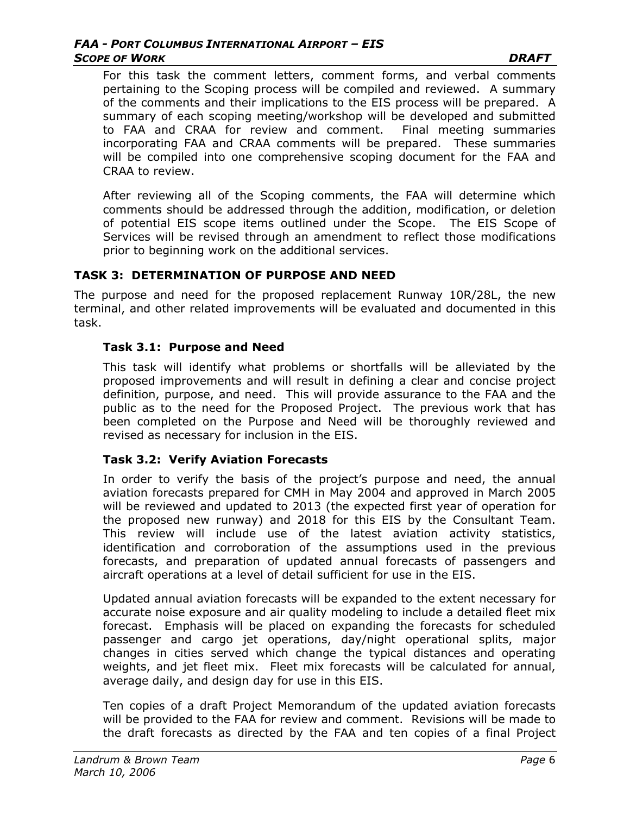For this task the comment letters, comment forms, and verbal comments pertaining to the Scoping process will be compiled and reviewed. A summary of the comments and their implications to the EIS process will be prepared. A summary of each scoping meeting/workshop will be developed and submitted to FAA and CRAA for review and comment. Final meeting summaries incorporating FAA and CRAA comments will be prepared. These summaries will be compiled into one comprehensive scoping document for the FAA and CRAA to review.

After reviewing all of the Scoping comments, the FAA will determine which comments should be addressed through the addition, modification, or deletion of potential EIS scope items outlined under the Scope. The EIS Scope of Services will be revised through an amendment to reflect those modifications prior to beginning work on the additional services.

### **TASK 3: DETERMINATION OF PURPOSE AND NEED**

The purpose and need for the proposed replacement Runway 10R/28L, the new terminal, and other related improvements will be evaluated and documented in this task.

### **Task 3.1: Purpose and Need**

This task will identify what problems or shortfalls will be alleviated by the proposed improvements and will result in defining a clear and concise project definition, purpose, and need. This will provide assurance to the FAA and the public as to the need for the Proposed Project. The previous work that has been completed on the Purpose and Need will be thoroughly reviewed and revised as necessary for inclusion in the EIS.

### **Task 3.2: Verify Aviation Forecasts**

In order to verify the basis of the project's purpose and need, the annual aviation forecasts prepared for CMH in May 2004 and approved in March 2005 will be reviewed and updated to 2013 (the expected first year of operation for the proposed new runway) and 2018 for this EIS by the Consultant Team. This review will include use of the latest aviation activity statistics, identification and corroboration of the assumptions used in the previous forecasts, and preparation of updated annual forecasts of passengers and aircraft operations at a level of detail sufficient for use in the EIS.

Updated annual aviation forecasts will be expanded to the extent necessary for accurate noise exposure and air quality modeling to include a detailed fleet mix forecast. Emphasis will be placed on expanding the forecasts for scheduled passenger and cargo jet operations, day/night operational splits, major changes in cities served which change the typical distances and operating weights, and jet fleet mix. Fleet mix forecasts will be calculated for annual, average daily, and design day for use in this EIS.

Ten copies of a draft Project Memorandum of the updated aviation forecasts will be provided to the FAA for review and comment. Revisions will be made to the draft forecasts as directed by the FAA and ten copies of a final Project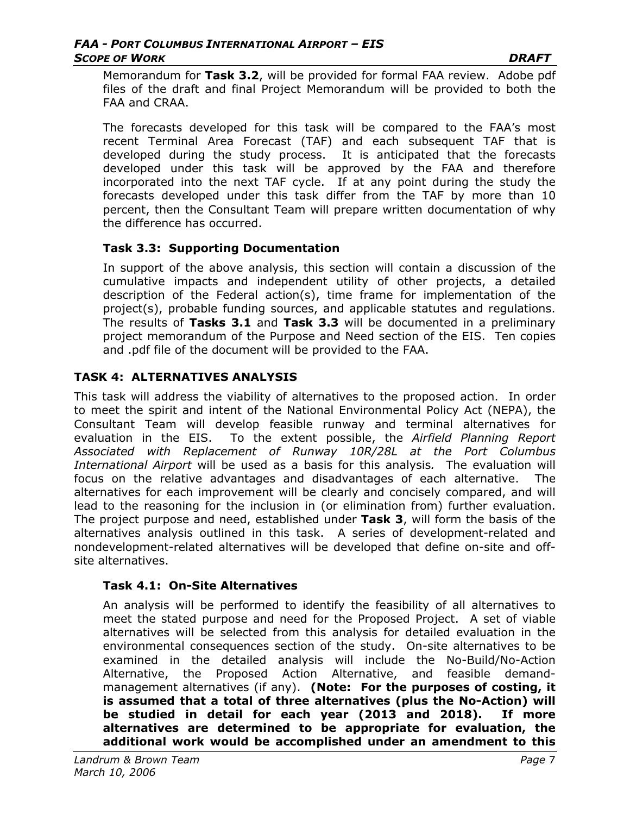Memorandum for **Task 3.2**, will be provided for formal FAA review. Adobe pdf files of the draft and final Project Memorandum will be provided to both the FAA and CRAA.

The forecasts developed for this task will be compared to the FAA's most recent Terminal Area Forecast (TAF) and each subsequent TAF that is developed during the study process. It is anticipated that the forecasts developed under this task will be approved by the FAA and therefore incorporated into the next TAF cycle. If at any point during the study the forecasts developed under this task differ from the TAF by more than 10 percent, then the Consultant Team will prepare written documentation of why the difference has occurred.

### **Task 3.3: Supporting Documentation**

In support of the above analysis, this section will contain a discussion of the cumulative impacts and independent utility of other projects, a detailed description of the Federal action(s), time frame for implementation of the project(s), probable funding sources, and applicable statutes and regulations. The results of **Tasks 3.1** and **Task 3.3** will be documented in a preliminary project memorandum of the Purpose and Need section of the EIS. Ten copies and .pdf file of the document will be provided to the FAA.

### **TASK 4: ALTERNATIVES ANALYSIS**

This task will address the viability of alternatives to the proposed action. In order to meet the spirit and intent of the National Environmental Policy Act (NEPA), the Consultant Team will develop feasible runway and terminal alternatives for evaluation in the EIS. To the extent possible, the *Airfield Planning Report Associated with Replacement of Runway 10R/28L at the Port Columbus International Airport* will be used as a basis for this analysis*.* The evaluation will focus on the relative advantages and disadvantages of each alternative. The alternatives for each improvement will be clearly and concisely compared, and will lead to the reasoning for the inclusion in (or elimination from) further evaluation. The project purpose and need, established under **Task 3**, will form the basis of the alternatives analysis outlined in this task. A series of development-related and nondevelopment-related alternatives will be developed that define on-site and offsite alternatives.

### **Task 4.1: On-Site Alternatives**

An analysis will be performed to identify the feasibility of all alternatives to meet the stated purpose and need for the Proposed Project. A set of viable alternatives will be selected from this analysis for detailed evaluation in the environmental consequences section of the study. On-site alternatives to be examined in the detailed analysis will include the No-Build/No-Action Alternative, the Proposed Action Alternative, and feasible demandmanagement alternatives (if any). **(Note: For the purposes of costing, it is assumed that a total of three alternatives (plus the No-Action) will be studied in detail for each year (2013 and 2018). If more alternatives are determined to be appropriate for evaluation, the additional work would be accomplished under an amendment to this**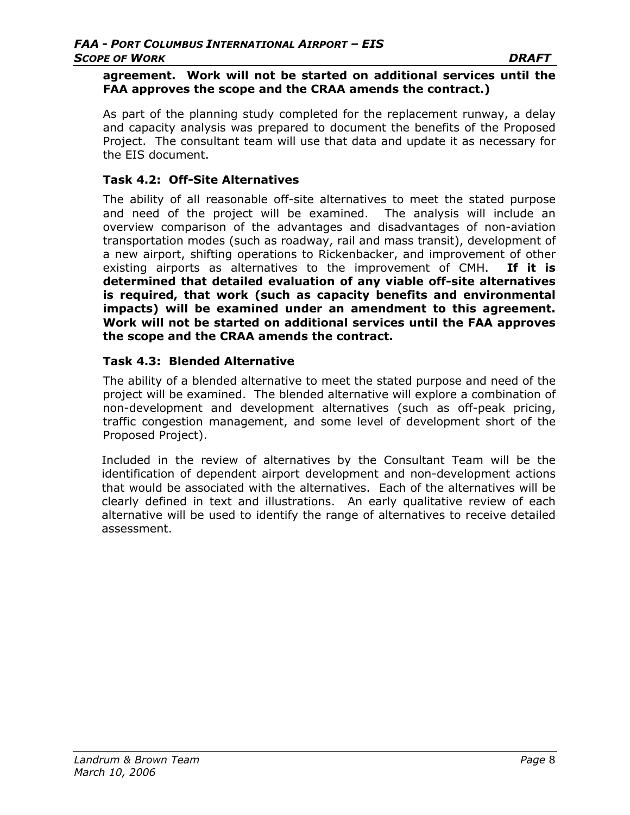#### **agreement. Work will not be started on additional services until the FAA approves the scope and the CRAA amends the contract.)**

As part of the planning study completed for the replacement runway, a delay and capacity analysis was prepared to document the benefits of the Proposed Project. The consultant team will use that data and update it as necessary for the EIS document.

### **Task 4.2: Off-Site Alternatives**

The ability of all reasonable off-site alternatives to meet the stated purpose and need of the project will be examined. The analysis will include an overview comparison of the advantages and disadvantages of non-aviation transportation modes (such as roadway, rail and mass transit), development of a new airport, shifting operations to Rickenbacker, and improvement of other existing airports as alternatives to the improvement of CMH. **If it is determined that detailed evaluation of any viable off-site alternatives is required, that work (such as capacity benefits and environmental impacts) will be examined under an amendment to this agreement. Work will not be started on additional services until the FAA approves the scope and the CRAA amends the contract.** 

### **Task 4.3: Blended Alternative**

The ability of a blended alternative to meet the stated purpose and need of the project will be examined. The blended alternative will explore a combination of non-development and development alternatives (such as off-peak pricing, traffic congestion management, and some level of development short of the Proposed Project).

Included in the review of alternatives by the Consultant Team will be the identification of dependent airport development and non-development actions that would be associated with the alternatives. Each of the alternatives will be clearly defined in text and illustrations. An early qualitative review of each alternative will be used to identify the range of alternatives to receive detailed assessment.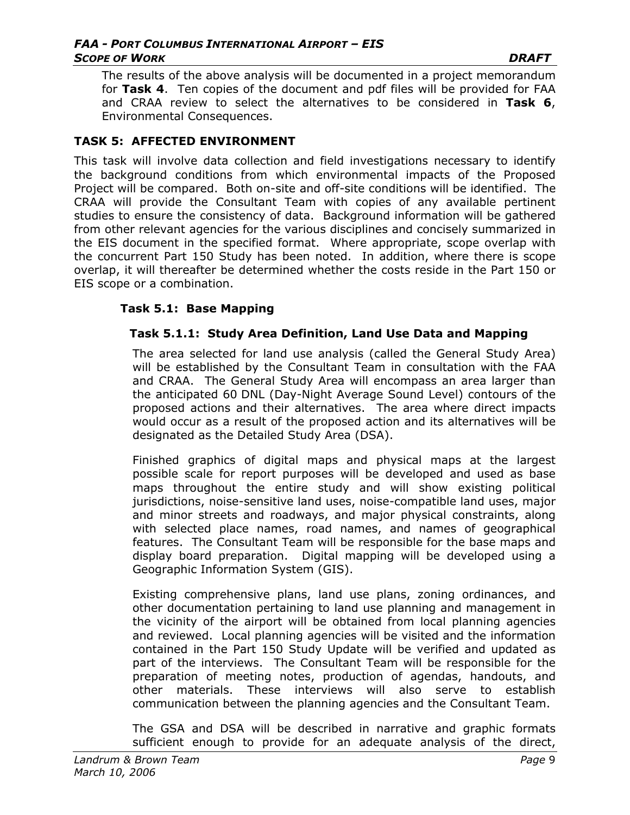The results of the above analysis will be documented in a project memorandum for **Task 4**. Ten copies of the document and pdf files will be provided for FAA and CRAA review to select the alternatives to be considered in **Task 6**, Environmental Consequences.

### **TASK 5: AFFECTED ENVIRONMENT**

This task will involve data collection and field investigations necessary to identify the background conditions from which environmental impacts of the Proposed Project will be compared. Both on-site and off-site conditions will be identified. The CRAA will provide the Consultant Team with copies of any available pertinent studies to ensure the consistency of data. Background information will be gathered from other relevant agencies for the various disciplines and concisely summarized in the EIS document in the specified format. Where appropriate, scope overlap with the concurrent Part 150 Study has been noted. In addition, where there is scope overlap, it will thereafter be determined whether the costs reside in the Part 150 or EIS scope or a combination.

### **Task 5.1: Base Mapping**

### **Task 5.1.1: Study Area Definition, Land Use Data and Mapping**

The area selected for land use analysis (called the General Study Area) will be established by the Consultant Team in consultation with the FAA and CRAA. The General Study Area will encompass an area larger than the anticipated 60 DNL (Day-Night Average Sound Level) contours of the proposed actions and their alternatives. The area where direct impacts would occur as a result of the proposed action and its alternatives will be designated as the Detailed Study Area (DSA).

Finished graphics of digital maps and physical maps at the largest possible scale for report purposes will be developed and used as base maps throughout the entire study and will show existing political jurisdictions, noise-sensitive land uses, noise-compatible land uses, major and minor streets and roadways, and major physical constraints, along with selected place names, road names, and names of geographical features. The Consultant Team will be responsible for the base maps and display board preparation. Digital mapping will be developed using a Geographic Information System (GIS).

Existing comprehensive plans, land use plans, zoning ordinances, and other documentation pertaining to land use planning and management in the vicinity of the airport will be obtained from local planning agencies and reviewed. Local planning agencies will be visited and the information contained in the Part 150 Study Update will be verified and updated as part of the interviews. The Consultant Team will be responsible for the preparation of meeting notes, production of agendas, handouts, and other materials. These interviews will also serve to establish communication between the planning agencies and the Consultant Team.

The GSA and DSA will be described in narrative and graphic formats sufficient enough to provide for an adequate analysis of the direct,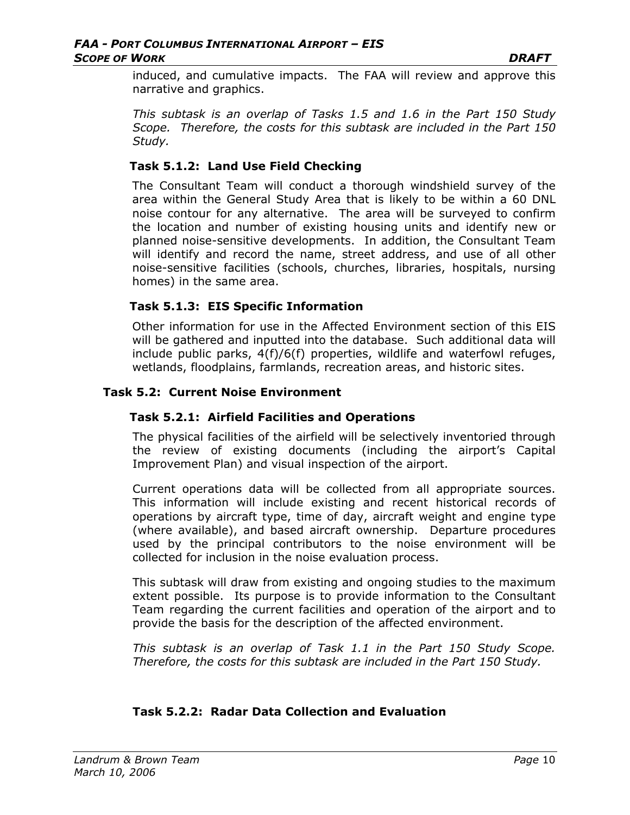induced, and cumulative impacts. The FAA will review and approve this narrative and graphics.

*This subtask is an overlap of Tasks 1.5 and 1.6 in the Part 150 Study Scope. Therefore, the costs for this subtask are included in the Part 150 Study.* 

### **Task 5.1.2: Land Use Field Checking**

The Consultant Team will conduct a thorough windshield survey of the area within the General Study Area that is likely to be within a 60 DNL noise contour for any alternative. The area will be surveyed to confirm the location and number of existing housing units and identify new or planned noise-sensitive developments. In addition, the Consultant Team will identify and record the name, street address, and use of all other noise-sensitive facilities (schools, churches, libraries, hospitals, nursing homes) in the same area.

### **Task 5.1.3: EIS Specific Information**

Other information for use in the Affected Environment section of this EIS will be gathered and inputted into the database. Such additional data will include public parks, 4(f)/6(f) properties, wildlife and waterfowl refuges, wetlands, floodplains, farmlands, recreation areas, and historic sites.

### **Task 5.2: Current Noise Environment**

### **Task 5.2.1: Airfield Facilities and Operations**

The physical facilities of the airfield will be selectively inventoried through the review of existing documents (including the airport's Capital Improvement Plan) and visual inspection of the airport.

Current operations data will be collected from all appropriate sources. This information will include existing and recent historical records of operations by aircraft type, time of day, aircraft weight and engine type (where available), and based aircraft ownership. Departure procedures used by the principal contributors to the noise environment will be collected for inclusion in the noise evaluation process.

This subtask will draw from existing and ongoing studies to the maximum extent possible. Its purpose is to provide information to the Consultant Team regarding the current facilities and operation of the airport and to provide the basis for the description of the affected environment.

*This subtask is an overlap of Task 1.1 in the Part 150 Study Scope. Therefore, the costs for this subtask are included in the Part 150 Study.* 

## **Task 5.2.2: Radar Data Collection and Evaluation**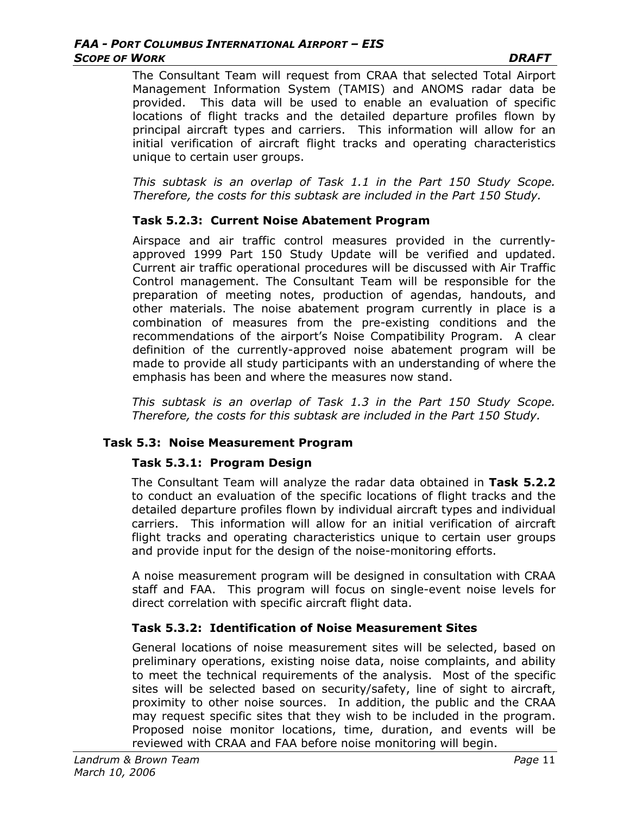The Consultant Team will request from CRAA that selected Total Airport Management Information System (TAMIS) and ANOMS radar data be provided. This data will be used to enable an evaluation of specific locations of flight tracks and the detailed departure profiles flown by principal aircraft types and carriers. This information will allow for an initial verification of aircraft flight tracks and operating characteristics unique to certain user groups.

*This subtask is an overlap of Task 1.1 in the Part 150 Study Scope. Therefore, the costs for this subtask are included in the Part 150 Study.* 

### **Task 5.2.3: Current Noise Abatement Program**

Airspace and air traffic control measures provided in the currentlyapproved 1999 Part 150 Study Update will be verified and updated. Current air traffic operational procedures will be discussed with Air Traffic Control management. The Consultant Team will be responsible for the preparation of meeting notes, production of agendas, handouts, and other materials. The noise abatement program currently in place is a combination of measures from the pre-existing conditions and the recommendations of the airport's Noise Compatibility Program. A clear definition of the currently-approved noise abatement program will be made to provide all study participants with an understanding of where the emphasis has been and where the measures now stand.

*This subtask is an overlap of Task 1.3 in the Part 150 Study Scope. Therefore, the costs for this subtask are included in the Part 150 Study.* 

### **Task 5.3: Noise Measurement Program**

### **Task 5.3.1: Program Design**

The Consultant Team will analyze the radar data obtained in **Task 5.2.2**  to conduct an evaluation of the specific locations of flight tracks and the detailed departure profiles flown by individual aircraft types and individual carriers. This information will allow for an initial verification of aircraft flight tracks and operating characteristics unique to certain user groups and provide input for the design of the noise-monitoring efforts.

A noise measurement program will be designed in consultation with CRAA staff and FAA. This program will focus on single-event noise levels for direct correlation with specific aircraft flight data.

## **Task 5.3.2: Identification of Noise Measurement Sites**

General locations of noise measurement sites will be selected, based on preliminary operations, existing noise data, noise complaints, and ability to meet the technical requirements of the analysis. Most of the specific sites will be selected based on security/safety, line of sight to aircraft, proximity to other noise sources. In addition, the public and the CRAA may request specific sites that they wish to be included in the program. Proposed noise monitor locations, time, duration, and events will be reviewed with CRAA and FAA before noise monitoring will begin.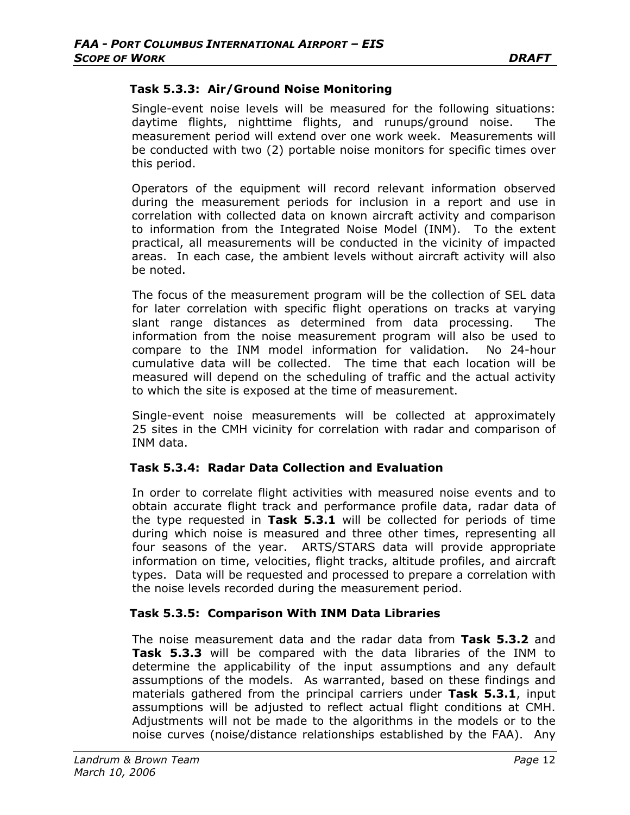### **Task 5.3.3: Air/Ground Noise Monitoring**

Single-event noise levels will be measured for the following situations: daytime flights, nighttime flights, and runups/ground noise. measurement period will extend over one work week. Measurements will be conducted with two (2) portable noise monitors for specific times over this period.

Operators of the equipment will record relevant information observed during the measurement periods for inclusion in a report and use in correlation with collected data on known aircraft activity and comparison to information from the Integrated Noise Model (INM). To the extent practical, all measurements will be conducted in the vicinity of impacted areas. In each case, the ambient levels without aircraft activity will also be noted.

The focus of the measurement program will be the collection of SEL data for later correlation with specific flight operations on tracks at varying slant range distances as determined from data processing. The information from the noise measurement program will also be used to compare to the INM model information for validation. No 24-hour cumulative data will be collected. The time that each location will be measured will depend on the scheduling of traffic and the actual activity to which the site is exposed at the time of measurement.

Single-event noise measurements will be collected at approximately 25 sites in the CMH vicinity for correlation with radar and comparison of INM data.

### **Task 5.3.4: Radar Data Collection and Evaluation**

In order to correlate flight activities with measured noise events and to obtain accurate flight track and performance profile data, radar data of the type requested in **Task 5.3.1** will be collected for periods of time during which noise is measured and three other times, representing all four seasons of the year. ARTS/STARS data will provide appropriate information on time, velocities, flight tracks, altitude profiles, and aircraft types. Data will be requested and processed to prepare a correlation with the noise levels recorded during the measurement period.

#### **Task 5.3.5: Comparison With INM Data Libraries**

The noise measurement data and the radar data from **Task 5.3.2** and **Task 5.3.3** will be compared with the data libraries of the INM to determine the applicability of the input assumptions and any default assumptions of the models. As warranted, based on these findings and materials gathered from the principal carriers under **Task 5.3.1**, input assumptions will be adjusted to reflect actual flight conditions at CMH. Adjustments will not be made to the algorithms in the models or to the noise curves (noise/distance relationships established by the FAA). Any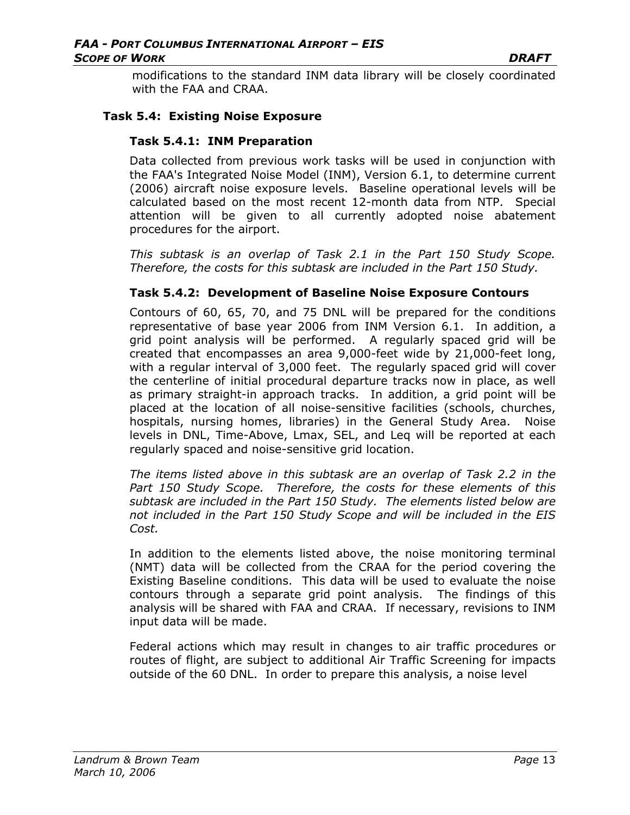modifications to the standard INM data library will be closely coordinated with the FAA and CRAA.

### **Task 5.4: Existing Noise Exposure**

#### **Task 5.4.1: INM Preparation**

Data collected from previous work tasks will be used in conjunction with the FAA's Integrated Noise Model (INM), Version 6.1, to determine current (2006) aircraft noise exposure levels. Baseline operational levels will be calculated based on the most recent 12-month data from NTP. Special attention will be given to all currently adopted noise abatement procedures for the airport.

*This subtask is an overlap of Task 2.1 in the Part 150 Study Scope. Therefore, the costs for this subtask are included in the Part 150 Study.* 

#### **Task 5.4.2: Development of Baseline Noise Exposure Contours**

Contours of 60, 65, 70, and 75 DNL will be prepared for the conditions representative of base year 2006 from INM Version 6.1. In addition, a grid point analysis will be performed. A regularly spaced grid will be created that encompasses an area 9,000-feet wide by 21,000-feet long, with a regular interval of 3,000 feet. The regularly spaced grid will cover the centerline of initial procedural departure tracks now in place, as well as primary straight-in approach tracks. In addition, a grid point will be placed at the location of all noise-sensitive facilities (schools, churches, hospitals, nursing homes, libraries) in the General Study Area. Noise levels in DNL, Time-Above, Lmax, SEL, and Leq will be reported at each regularly spaced and noise-sensitive grid location.

*The items listed above in this subtask are an overlap of Task 2.2 in the Part 150 Study Scope. Therefore, the costs for these elements of this subtask are included in the Part 150 Study. The elements listed below are not included in the Part 150 Study Scope and will be included in the EIS Cost.*

In addition to the elements listed above, the noise monitoring terminal (NMT) data will be collected from the CRAA for the period covering the Existing Baseline conditions. This data will be used to evaluate the noise contours through a separate grid point analysis. The findings of this analysis will be shared with FAA and CRAA. If necessary, revisions to INM input data will be made.

Federal actions which may result in changes to air traffic procedures or routes of flight, are subject to additional Air Traffic Screening for impacts outside of the 60 DNL. In order to prepare this analysis, a noise level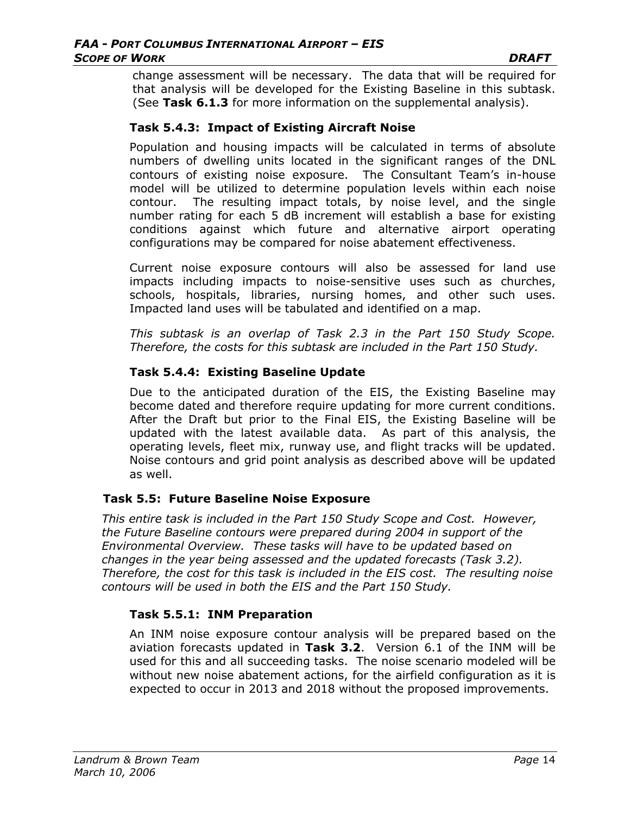change assessment will be necessary. The data that will be required for that analysis will be developed for the Existing Baseline in this subtask. (See **Task 6.1.3** for more information on the supplemental analysis).

### **Task 5.4.3: Impact of Existing Aircraft Noise**

Population and housing impacts will be calculated in terms of absolute numbers of dwelling units located in the significant ranges of the DNL contours of existing noise exposure. The Consultant Team's in-house model will be utilized to determine population levels within each noise contour. The resulting impact totals, by noise level, and the single number rating for each 5 dB increment will establish a base for existing conditions against which future and alternative airport operating configurations may be compared for noise abatement effectiveness.

Current noise exposure contours will also be assessed for land use impacts including impacts to noise-sensitive uses such as churches, schools, hospitals, libraries, nursing homes, and other such uses. Impacted land uses will be tabulated and identified on a map.

*This subtask is an overlap of Task 2.3 in the Part 150 Study Scope. Therefore, the costs for this subtask are included in the Part 150 Study.* 

### **Task 5.4.4: Existing Baseline Update**

Due to the anticipated duration of the EIS, the Existing Baseline may become dated and therefore require updating for more current conditions. After the Draft but prior to the Final EIS, the Existing Baseline will be updated with the latest available data. As part of this analysis, the operating levels, fleet mix, runway use, and flight tracks will be updated. Noise contours and grid point analysis as described above will be updated as well.

### **Task 5.5: Future Baseline Noise Exposure**

*This entire task is included in the Part 150 Study Scope and Cost. However, the Future Baseline contours were prepared during 2004 in support of the Environmental Overview. These tasks will have to be updated based on changes in the year being assessed and the updated forecasts (Task 3.2). Therefore, the cost for this task is included in the EIS cost. The resulting noise contours will be used in both the EIS and the Part 150 Study.* 

## **Task 5.5.1: INM Preparation**

An INM noise exposure contour analysis will be prepared based on the aviation forecasts updated in **Task 3.2**. Version 6.1 of the INM will be used for this and all succeeding tasks. The noise scenario modeled will be without new noise abatement actions, for the airfield configuration as it is expected to occur in 2013 and 2018 without the proposed improvements.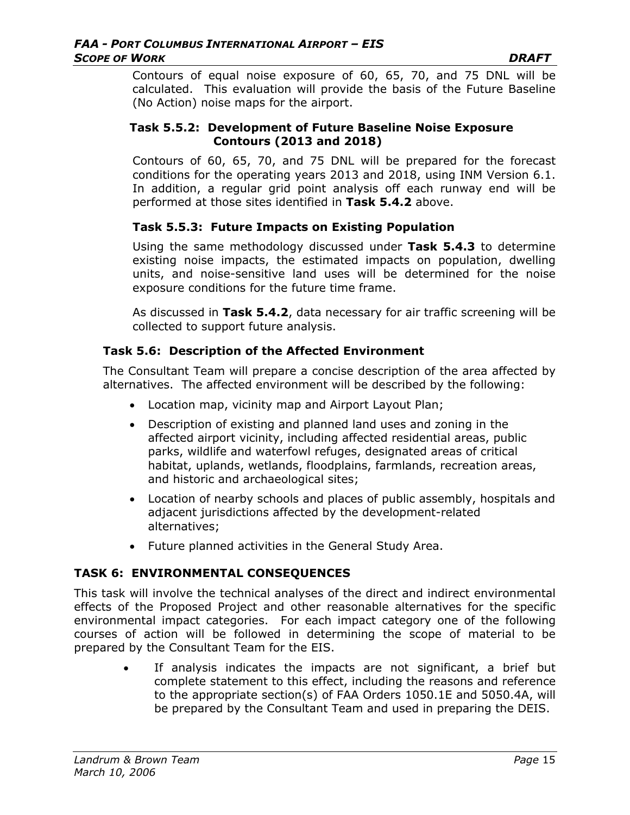Contours of equal noise exposure of 60, 65, 70, and 75 DNL will be calculated. This evaluation will provide the basis of the Future Baseline (No Action) noise maps for the airport.

### **Task 5.5.2: Development of Future Baseline Noise Exposure Contours (2013 and 2018)**

Contours of 60, 65, 70, and 75 DNL will be prepared for the forecast conditions for the operating years 2013 and 2018, using INM Version 6.1. In addition, a regular grid point analysis off each runway end will be performed at those sites identified in **Task 5.4.2** above.

## **Task 5.5.3: Future Impacts on Existing Population**

Using the same methodology discussed under **Task 5.4.3** to determine existing noise impacts, the estimated impacts on population, dwelling units, and noise-sensitive land uses will be determined for the noise exposure conditions for the future time frame.

As discussed in **Task 5.4.2**, data necessary for air traffic screening will be collected to support future analysis.

### **Task 5.6: Description of the Affected Environment**

The Consultant Team will prepare a concise description of the area affected by alternatives. The affected environment will be described by the following:

- Location map, vicinity map and Airport Layout Plan;
- Description of existing and planned land uses and zoning in the affected airport vicinity, including affected residential areas, public parks, wildlife and waterfowl refuges, designated areas of critical habitat, uplands, wetlands, floodplains, farmlands, recreation areas, and historic and archaeological sites;
- Location of nearby schools and places of public assembly, hospitals and adjacent jurisdictions affected by the development-related alternatives;
- Future planned activities in the General Study Area.

### **TASK 6: ENVIRONMENTAL CONSEQUENCES**

This task will involve the technical analyses of the direct and indirect environmental effects of the Proposed Project and other reasonable alternatives for the specific environmental impact categories. For each impact category one of the following courses of action will be followed in determining the scope of material to be prepared by the Consultant Team for the EIS.

> If analysis indicates the impacts are not significant, a brief but complete statement to this effect, including the reasons and reference to the appropriate section(s) of FAA Orders 1050.1E and 5050.4A, will be prepared by the Consultant Team and used in preparing the DEIS.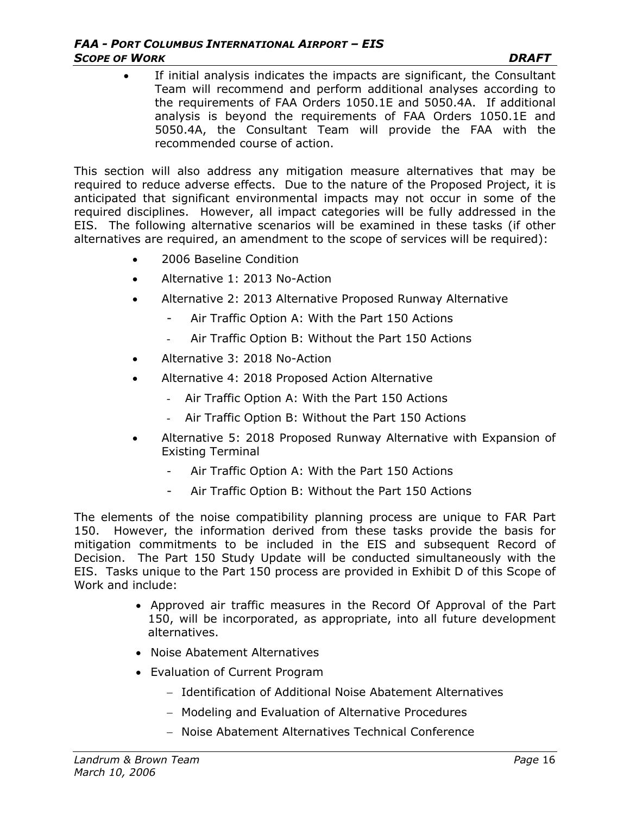If initial analysis indicates the impacts are significant, the Consultant Team will recommend and perform additional analyses according to the requirements of FAA Orders 1050.1E and 5050.4A. If additional analysis is beyond the requirements of FAA Orders 1050.1E and 5050.4A, the Consultant Team will provide the FAA with the recommended course of action.

This section will also address any mitigation measure alternatives that may be required to reduce adverse effects. Due to the nature of the Proposed Project, it is anticipated that significant environmental impacts may not occur in some of the required disciplines. However, all impact categories will be fully addressed in the EIS.The following alternative scenarios will be examined in these tasks (if other alternatives are required, an amendment to the scope of services will be required):

- 2006 Baseline Condition
- Alternative 1: 2013 No-Action
- Alternative 2: 2013 Alternative Proposed Runway Alternative
	- Air Traffic Option A: With the Part 150 Actions
	- Air Traffic Option B: Without the Part 150 Actions
- Alternative 3: 2018 No-Action
- Alternative 4: 2018 Proposed Action Alternative
	- Air Traffic Option A: With the Part 150 Actions
	- Air Traffic Option B: Without the Part 150 Actions
- Alternative 5: 2018 Proposed Runway Alternative with Expansion of Existing Terminal
	- Air Traffic Option A: With the Part 150 Actions
	- Air Traffic Option B: Without the Part 150 Actions

The elements of the noise compatibility planning process are unique to FAR Part 150. However, the information derived from these tasks provide the basis for mitigation commitments to be included in the EIS and subsequent Record of Decision. The Part 150 Study Update will be conducted simultaneously with the EIS. Tasks unique to the Part 150 process are provided in Exhibit D of this Scope of Work and include:

- Approved air traffic measures in the Record Of Approval of the Part 150, will be incorporated, as appropriate, into all future development alternatives.
- Noise Abatement Alternatives
- Evaluation of Current Program
	- − Identification of Additional Noise Abatement Alternatives
	- − Modeling and Evaluation of Alternative Procedures
	- − Noise Abatement Alternatives Technical Conference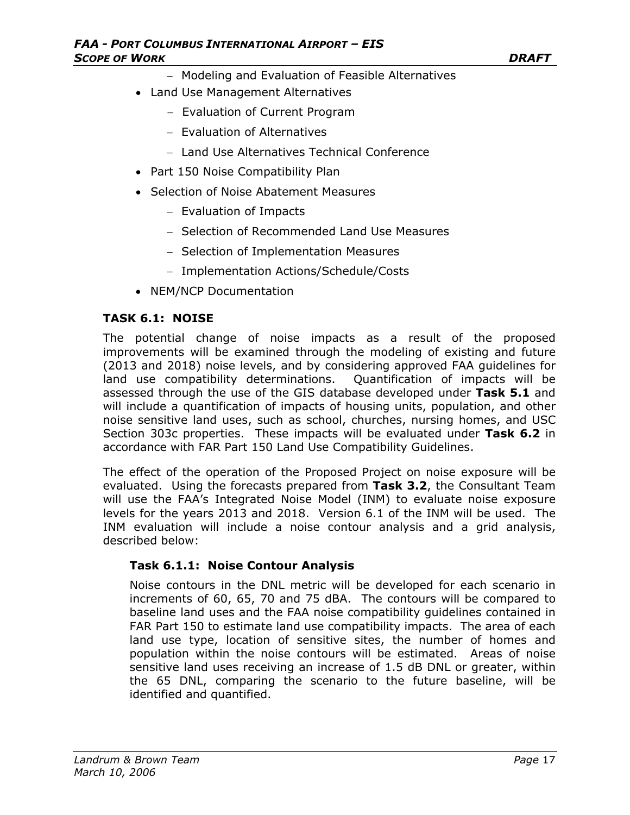- − Modeling and Evaluation of Feasible Alternatives
- Land Use Management Alternatives
	- − Evaluation of Current Program
	- − Evaluation of Alternatives
	- − Land Use Alternatives Technical Conference
- Part 150 Noise Compatibility Plan
- Selection of Noise Abatement Measures
	- − Evaluation of Impacts
	- − Selection of Recommended Land Use Measures
	- − Selection of Implementation Measures
	- − Implementation Actions/Schedule/Costs
- NEM/NCP Documentation

### **TASK 6.1: NOISE**

The potential change of noise impacts as a result of the proposed improvements will be examined through the modeling of existing and future (2013 and 2018) noise levels, and by considering approved FAA guidelines for land use compatibility determinations. Quantification of impacts will be assessed through the use of the GIS database developed under **Task 5.1** and will include a quantification of impacts of housing units, population, and other noise sensitive land uses, such as school, churches, nursing homes, and USC Section 303c properties. These impacts will be evaluated under **Task 6.2** in accordance with FAR Part 150 Land Use Compatibility Guidelines.

The effect of the operation of the Proposed Project on noise exposure will be evaluated. Using the forecasts prepared from **Task 3.2**, the Consultant Team will use the FAA's Integrated Noise Model (INM) to evaluate noise exposure levels for the years 2013 and 2018. Version 6.1 of the INM will be used. The INM evaluation will include a noise contour analysis and a grid analysis, described below:

### **Task 6.1.1: Noise Contour Analysis**

Noise contours in the DNL metric will be developed for each scenario in increments of 60, 65, 70 and 75 dBA. The contours will be compared to baseline land uses and the FAA noise compatibility guidelines contained in FAR Part 150 to estimate land use compatibility impacts. The area of each land use type, location of sensitive sites, the number of homes and population within the noise contours will be estimated. Areas of noise sensitive land uses receiving an increase of 1.5 dB DNL or greater, within the 65 DNL, comparing the scenario to the future baseline, will be identified and quantified.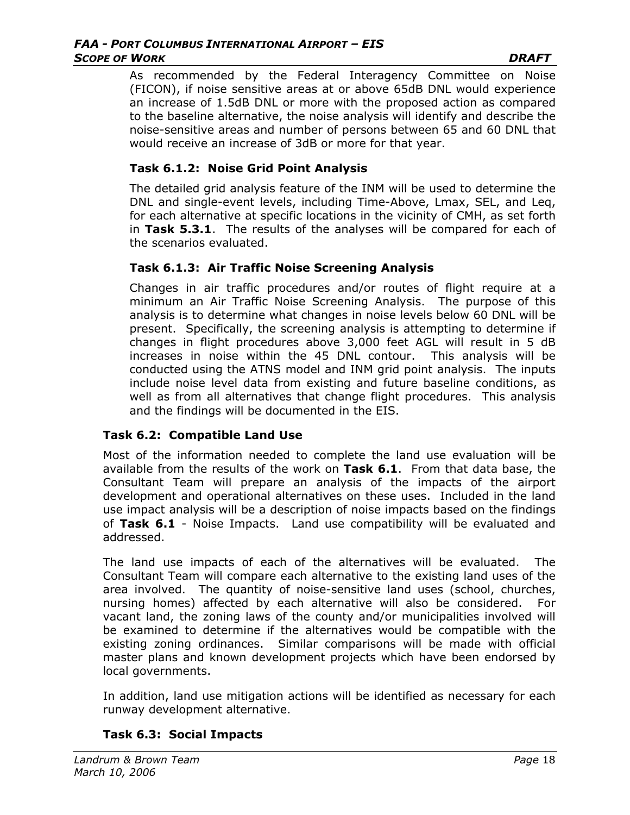#### *FAA - PORT COLUMBUS INTERNATIONAL AIRPORT – EIS*  **SCOPE OF WORK DRAFT**

As recommended by the Federal Interagency Committee on Noise (FICON), if noise sensitive areas at or above 65dB DNL would experience an increase of 1.5dB DNL or more with the proposed action as compared to the baseline alternative, the noise analysis will identify and describe the noise-sensitive areas and number of persons between 65 and 60 DNL that would receive an increase of 3dB or more for that year.

### **Task 6.1.2: Noise Grid Point Analysis**

The detailed grid analysis feature of the INM will be used to determine the DNL and single-event levels, including Time-Above, Lmax, SEL, and Leq, for each alternative at specific locations in the vicinity of CMH, as set forth in **Task 5.3.1**. The results of the analyses will be compared for each of the scenarios evaluated.

### **Task 6.1.3: Air Traffic Noise Screening Analysis**

Changes in air traffic procedures and/or routes of flight require at a minimum an Air Traffic Noise Screening Analysis. The purpose of this analysis is to determine what changes in noise levels below 60 DNL will be present. Specifically, the screening analysis is attempting to determine if changes in flight procedures above 3,000 feet AGL will result in 5 dB increases in noise within the 45 DNL contour. This analysis will be conducted using the ATNS model and INM grid point analysis. The inputs include noise level data from existing and future baseline conditions, as well as from all alternatives that change flight procedures. This analysis and the findings will be documented in the EIS.

## **Task 6.2: Compatible Land Use**

Most of the information needed to complete the land use evaluation will be available from the results of the work on **Task 6.1**. From that data base, the Consultant Team will prepare an analysis of the impacts of the airport development and operational alternatives on these uses. Included in the land use impact analysis will be a description of noise impacts based on the findings of **Task 6.1** - Noise Impacts. Land use compatibility will be evaluated and addressed.

The land use impacts of each of the alternatives will be evaluated. The Consultant Team will compare each alternative to the existing land uses of the area involved. The quantity of noise-sensitive land uses (school, churches, nursing homes) affected by each alternative will also be considered. For vacant land, the zoning laws of the county and/or municipalities involved will be examined to determine if the alternatives would be compatible with the existing zoning ordinances. Similar comparisons will be made with official master plans and known development projects which have been endorsed by local governments.

In addition, land use mitigation actions will be identified as necessary for each runway development alternative.

## **Task 6.3: Social Impacts**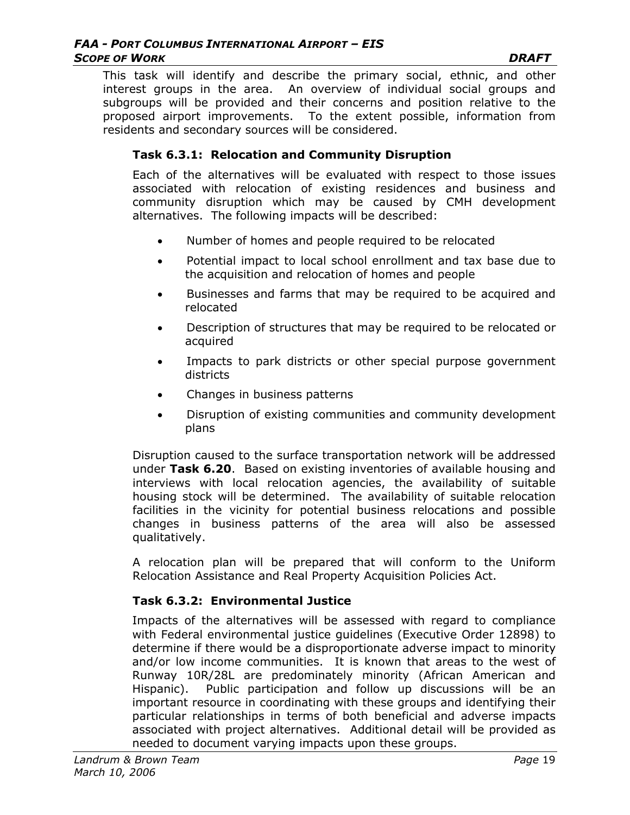This task will identify and describe the primary social, ethnic, and other interest groups in the area. An overview of individual social groups and subgroups will be provided and their concerns and position relative to the proposed airport improvements. To the extent possible, information from residents and secondary sources will be considered.

### **Task 6.3.1: Relocation and Community Disruption**

Each of the alternatives will be evaluated with respect to those issues associated with relocation of existing residences and business and community disruption which may be caused by CMH development alternatives. The following impacts will be described:

- Number of homes and people required to be relocated
- Potential impact to local school enrollment and tax base due to the acquisition and relocation of homes and people
- Businesses and farms that may be required to be acquired and relocated
- Description of structures that may be required to be relocated or acquired
- Impacts to park districts or other special purpose government districts
- Changes in business patterns
- Disruption of existing communities and community development plans

Disruption caused to the surface transportation network will be addressed under **Task 6.20**. Based on existing inventories of available housing and interviews with local relocation agencies, the availability of suitable housing stock will be determined. The availability of suitable relocation facilities in the vicinity for potential business relocations and possible changes in business patterns of the area will also be assessed qualitatively.

A relocation plan will be prepared that will conform to the Uniform Relocation Assistance and Real Property Acquisition Policies Act.

### **Task 6.3.2: Environmental Justice**

Impacts of the alternatives will be assessed with regard to compliance with Federal environmental justice guidelines (Executive Order 12898) to determine if there would be a disproportionate adverse impact to minority and/or low income communities. It is known that areas to the west of Runway 10R/28L are predominately minority (African American and Hispanic). Public participation and follow up discussions will be an important resource in coordinating with these groups and identifying their particular relationships in terms of both beneficial and adverse impacts associated with project alternatives. Additional detail will be provided as needed to document varying impacts upon these groups.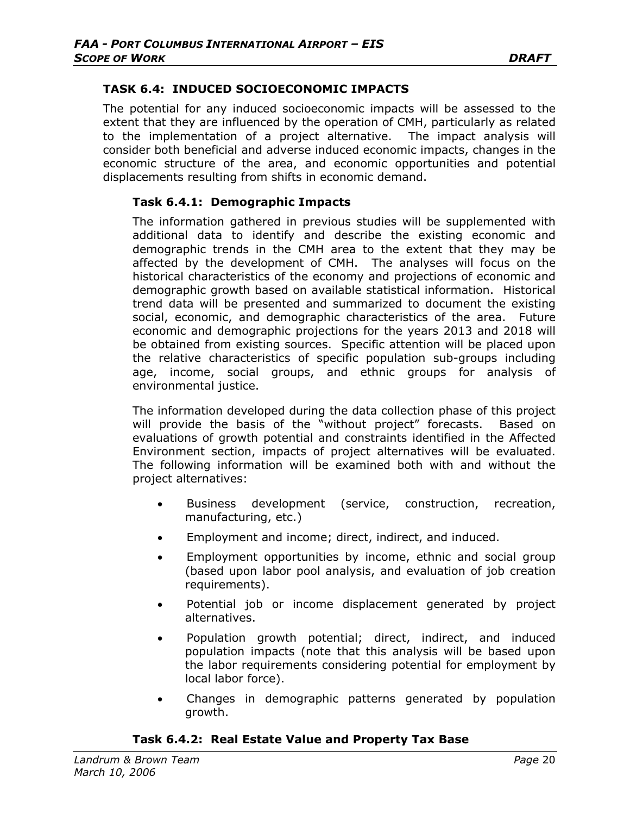### **TASK 6.4: INDUCED SOCIOECONOMIC IMPACTS**

The potential for any induced socioeconomic impacts will be assessed to the extent that they are influenced by the operation of CMH, particularly as related to the implementation of a project alternative. The impact analysis will consider both beneficial and adverse induced economic impacts, changes in the economic structure of the area, and economic opportunities and potential displacements resulting from shifts in economic demand.

### **Task 6.4.1: Demographic Impacts**

The information gathered in previous studies will be supplemented with additional data to identify and describe the existing economic and demographic trends in the CMH area to the extent that they may be affected by the development of CMH. The analyses will focus on the historical characteristics of the economy and projections of economic and demographic growth based on available statistical information. Historical trend data will be presented and summarized to document the existing social, economic, and demographic characteristics of the area. Future economic and demographic projections for the years 2013 and 2018 will be obtained from existing sources. Specific attention will be placed upon the relative characteristics of specific population sub-groups including age, income, social groups, and ethnic groups for analysis of environmental justice.

The information developed during the data collection phase of this project will provide the basis of the "without project" forecasts. Based on evaluations of growth potential and constraints identified in the Affected Environment section, impacts of project alternatives will be evaluated. The following information will be examined both with and without the project alternatives:

- Business development (service, construction, recreation, manufacturing, etc.)
- Employment and income; direct, indirect, and induced.
- Employment opportunities by income, ethnic and social group (based upon labor pool analysis, and evaluation of job creation requirements).
- Potential job or income displacement generated by project alternatives.
- Population growth potential; direct, indirect, and induced population impacts (note that this analysis will be based upon the labor requirements considering potential for employment by local labor force).
- Changes in demographic patterns generated by population growth.

#### **Task 6.4.2: Real Estate Value and Property Tax Base**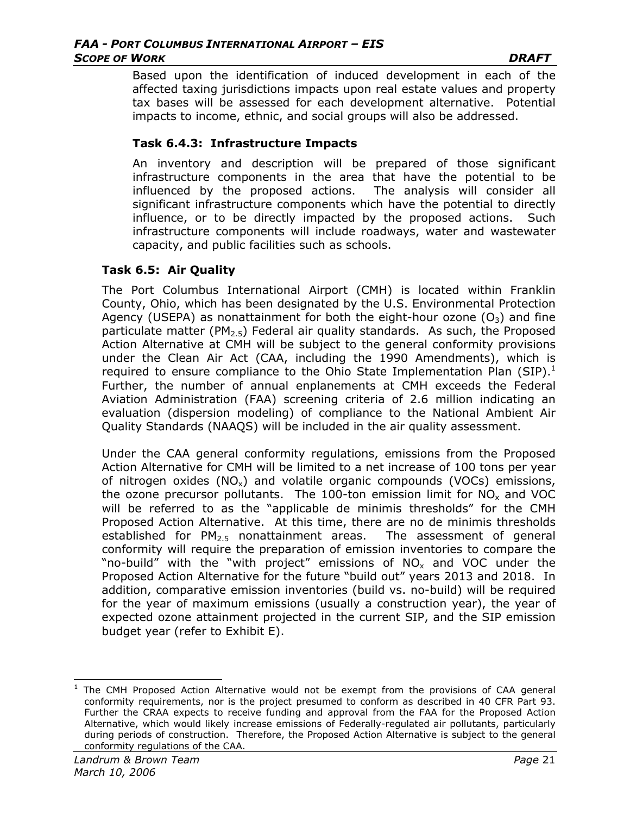Based upon the identification of induced development in each of the affected taxing jurisdictions impacts upon real estate values and property tax bases will be assessed for each development alternative. Potential impacts to income, ethnic, and social groups will also be addressed.

### **Task 6.4.3: Infrastructure Impacts**

An inventory and description will be prepared of those significant infrastructure components in the area that have the potential to be influenced by the proposed actions. The analysis will consider all significant infrastructure components which have the potential to directly influence, or to be directly impacted by the proposed actions. Such infrastructure components will include roadways, water and wastewater capacity, and public facilities such as schools.

### **Task 6.5: Air Quality**

The Port Columbus International Airport (CMH) is located within Franklin County, Ohio, which has been designated by the U.S. Environmental Protection Agency (USEPA) as nonattainment for both the eight-hour ozone  $(O_3)$  and fine particulate matter ( $PM_{2.5}$ ) Federal air quality standards. As such, the Proposed Action Alternative at CMH will be subject to the general conformity provisions under the Clean Air Act (CAA, including the 1990 Amendments), which is required to ensure compliance to the Ohio State Implementation Plan (SIP). $^1$ Further, the number of annual enplanements at CMH exceeds the Federal Aviation Administration (FAA) screening criteria of 2.6 million indicating an evaluation (dispersion modeling) of compliance to the National Ambient Air Quality Standards (NAAQS) will be included in the air quality assessment.

Under the CAA general conformity regulations, emissions from the Proposed Action Alternative for CMH will be limited to a net increase of 100 tons per year of nitrogen oxides  $(NO_x)$  and volatile organic compounds  $(VOCs)$  emissions, the ozone precursor pollutants. The 100-ton emission limit for  $NO<sub>x</sub>$  and VOC will be referred to as the "applicable de minimis thresholds" for the CMH Proposed Action Alternative. At this time, there are no de minimis thresholds established for  $PM_{2.5}$  nonattainment areas. The assessment of general conformity will require the preparation of emission inventories to compare the "no-build" with the "with project" emissions of  $NO<sub>x</sub>$  and VOC under the Proposed Action Alternative for the future "build out" years 2013 and 2018. In addition, comparative emission inventories (build vs. no-build) will be required for the year of maximum emissions (usually a construction year), the year of expected ozone attainment projected in the current SIP, and the SIP emission budget year (refer to Exhibit E).

 $\overline{\phantom{a}}$ 1 The CMH Proposed Action Alternative would not be exempt from the provisions of CAA general conformity requirements, nor is the project presumed to conform as described in 40 CFR Part 93. Further the CRAA expects to receive funding and approval from the FAA for the Proposed Action Alternative, which would likely increase emissions of Federally-regulated air pollutants, particularly during periods of construction. Therefore, the Proposed Action Alternative is subject to the general conformity regulations of the CAA.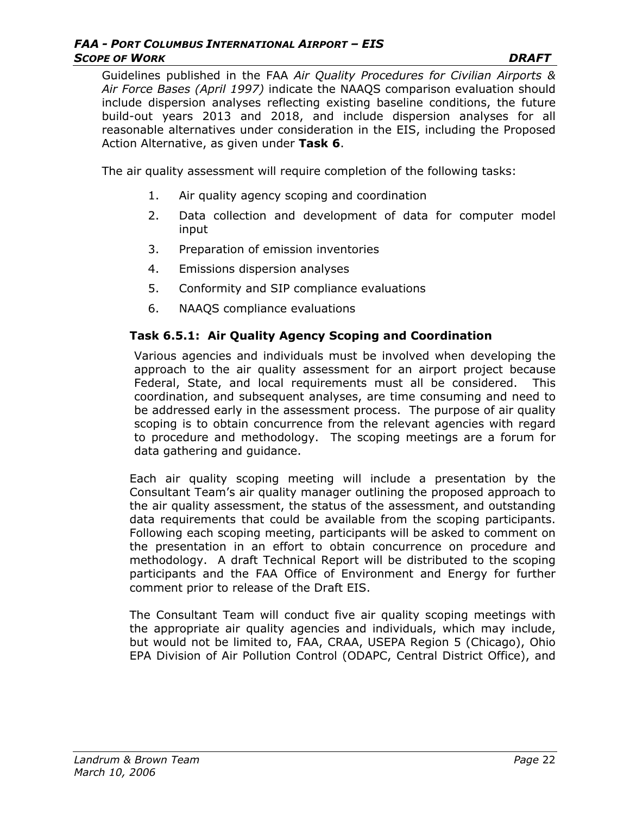Guidelines published in the FAA *Air Quality Procedures for Civilian Airports & Air Force Bases (April 1997)* indicate the NAAQS comparison evaluation should include dispersion analyses reflecting existing baseline conditions, the future build-out years 2013 and 2018, and include dispersion analyses for all reasonable alternatives under consideration in the EIS, including the Proposed Action Alternative, as given under **Task 6**.

The air quality assessment will require completion of the following tasks:

- 1. Air quality agency scoping and coordination
- 2. Data collection and development of data for computer model input
- 3. Preparation of emission inventories
- 4. Emissions dispersion analyses
- 5. Conformity and SIP compliance evaluations
- 6. NAAQS compliance evaluations

## **Task 6.5.1: Air Quality Agency Scoping and Coordination**

Various agencies and individuals must be involved when developing the approach to the air quality assessment for an airport project because Federal, State, and local requirements must all be considered. This coordination, and subsequent analyses, are time consuming and need to be addressed early in the assessment process. The purpose of air quality scoping is to obtain concurrence from the relevant agencies with regard to procedure and methodology. The scoping meetings are a forum for data gathering and guidance.

Each air quality scoping meeting will include a presentation by the Consultant Team's air quality manager outlining the proposed approach to the air quality assessment, the status of the assessment, and outstanding data requirements that could be available from the scoping participants. Following each scoping meeting, participants will be asked to comment on the presentation in an effort to obtain concurrence on procedure and methodology. A draft Technical Report will be distributed to the scoping participants and the FAA Office of Environment and Energy for further comment prior to release of the Draft EIS.

The Consultant Team will conduct five air quality scoping meetings with the appropriate air quality agencies and individuals, which may include, but would not be limited to, FAA, CRAA, USEPA Region 5 (Chicago), Ohio EPA Division of Air Pollution Control (ODAPC, Central District Office), and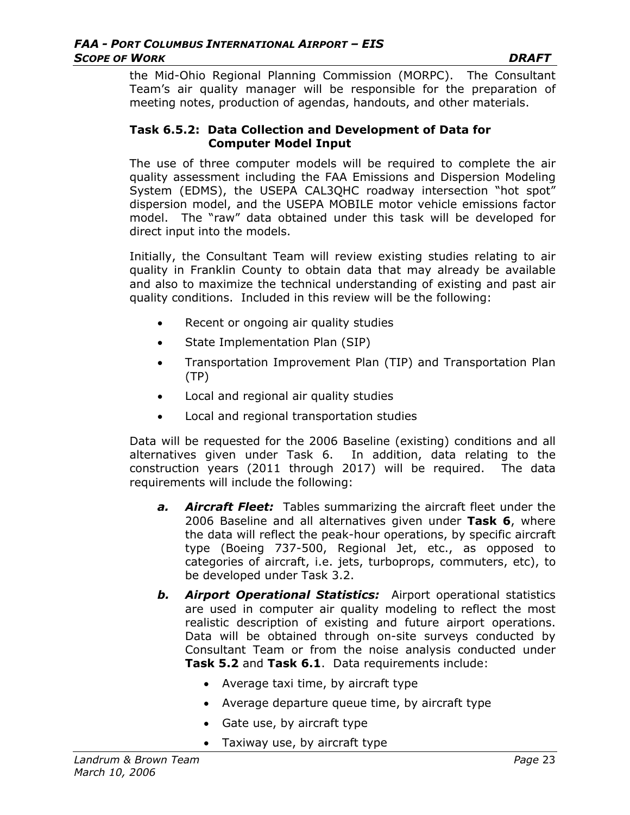the Mid-Ohio Regional Planning Commission (MORPC). The Consultant Team's air quality manager will be responsible for the preparation of meeting notes, production of agendas, handouts, and other materials.

#### **Task 6.5.2: Data Collection and Development of Data for Computer Model Input**

The use of three computer models will be required to complete the air quality assessment including the FAA Emissions and Dispersion Modeling System (EDMS), the USEPA CAL3QHC roadway intersection "hot spot" dispersion model, and the USEPA MOBILE motor vehicle emissions factor model. The "raw" data obtained under this task will be developed for direct input into the models.

Initially, the Consultant Team will review existing studies relating to air quality in Franklin County to obtain data that may already be available and also to maximize the technical understanding of existing and past air quality conditions. Included in this review will be the following:

- Recent or ongoing air quality studies
- State Implementation Plan (SIP)
- Transportation Improvement Plan (TIP) and Transportation Plan (TP)
- Local and regional air quality studies
- Local and regional transportation studies

Data will be requested for the 2006 Baseline (existing) conditions and all alternatives given under Task 6. In addition, data relating to the construction years (2011 through 2017) will be required. The data requirements will include the following:

- *a. Aircraft Fleet:* Tables summarizing the aircraft fleet under the 2006 Baseline and all alternatives given under **Task 6**, where the data will reflect the peak-hour operations, by specific aircraft type (Boeing 737-500, Regional Jet, etc., as opposed to categories of aircraft, i.e. jets, turboprops, commuters, etc), to be developed under Task 3.2.
- *b. Airport Operational Statistics:* Airport operational statistics are used in computer air quality modeling to reflect the most realistic description of existing and future airport operations. Data will be obtained through on-site surveys conducted by Consultant Team or from the noise analysis conducted under **Task 5.2** and **Task 6.1**. Data requirements include:
	- Average taxi time, by aircraft type
	- Average departure queue time, by aircraft type
	- Gate use, by aircraft type
	- Taxiway use, by aircraft type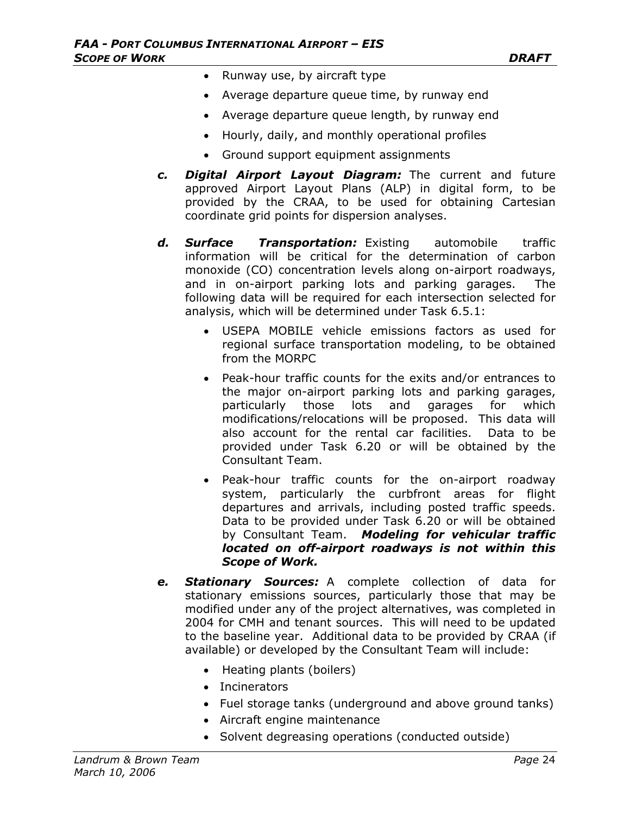- Runway use, by aircraft type
- Average departure queue time, by runway end
- Average departure queue length, by runway end
- Hourly, daily, and monthly operational profiles
- Ground support equipment assignments
- *c. Digital Airport Layout Diagram:* The current and future approved Airport Layout Plans (ALP) in digital form, to be provided by the CRAA, to be used for obtaining Cartesian coordinate grid points for dispersion analyses.
- *d. Surface Transportation:* Existing automobile traffic information will be critical for the determination of carbon monoxide (CO) concentration levels along on-airport roadways, and in on-airport parking lots and parking garages. The following data will be required for each intersection selected for analysis, which will be determined under Task 6.5.1:
	- USEPA MOBILE vehicle emissions factors as used for regional surface transportation modeling, to be obtained from the MORPC
	- Peak-hour traffic counts for the exits and/or entrances to the major on-airport parking lots and parking garages, particularly those lots and garages for which modifications/relocations will be proposed. This data will also account for the rental car facilities. Data to be provided under Task 6.20 or will be obtained by the Consultant Team.
	- Peak-hour traffic counts for the on-airport roadway system, particularly the curbfront areas for flight departures and arrivals, including posted traffic speeds. Data to be provided under Task 6.20 or will be obtained by Consultant Team. *Modeling for vehicular traffic located on off-airport roadways is not within this Scope of Work.*
- *e. Stationary Sources:* A complete collection of data for stationary emissions sources, particularly those that may be modified under any of the project alternatives, was completed in 2004 for CMH and tenant sources. This will need to be updated to the baseline year. Additional data to be provided by CRAA (if available) or developed by the Consultant Team will include:
	- Heating plants (boilers)
	- Incinerators
	- Fuel storage tanks (underground and above ground tanks)
	- Aircraft engine maintenance
	- Solvent degreasing operations (conducted outside)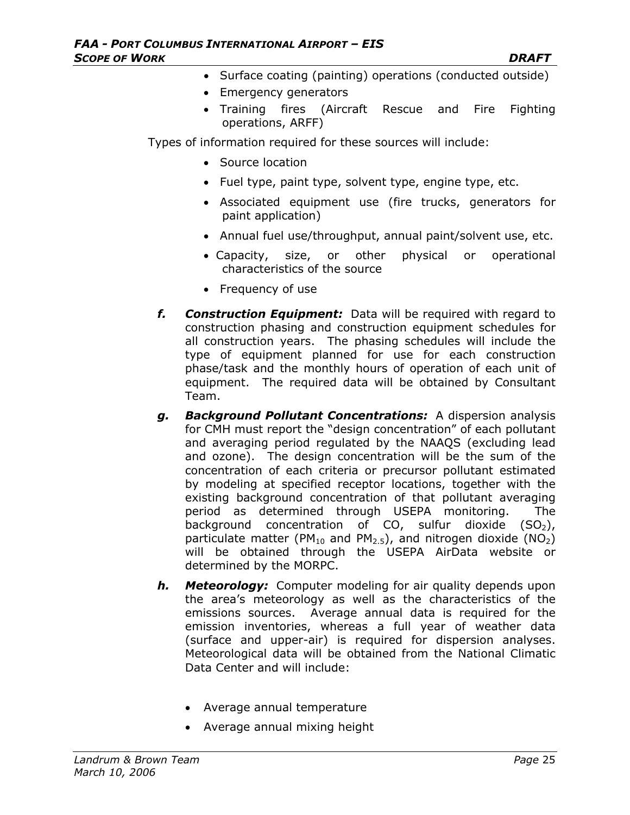- Surface coating (painting) operations (conducted outside)
- Emergency generators
- Training fires (Aircraft Rescue and Fire Fighting operations, ARFF)

Types of information required for these sources will include:

- Source location
- Fuel type, paint type, solvent type, engine type, etc.
- Associated equipment use (fire trucks, generators for paint application)
- Annual fuel use/throughput, annual paint/solvent use, etc.
- Capacity, size, or other physical or operational characteristics of the source
- Frequency of use
- *f. Construction Equipment:* Data will be required with regard to construction phasing and construction equipment schedules for all construction years. The phasing schedules will include the type of equipment planned for use for each construction phase/task and the monthly hours of operation of each unit of equipment. The required data will be obtained by Consultant Team.
- *g. Background Pollutant Concentrations:* A dispersion analysis for CMH must report the "design concentration" of each pollutant and averaging period regulated by the NAAQS (excluding lead and ozone). The design concentration will be the sum of the concentration of each criteria or precursor pollutant estimated by modeling at specified receptor locations, together with the existing background concentration of that pollutant averaging period as determined through USEPA monitoring. The background concentration of CO, sulfur dioxide  $(SO<sub>2</sub>)$ , particulate matter (PM<sub>10</sub> and PM<sub>2.5</sub>), and nitrogen dioxide (NO<sub>2</sub>) will be obtained through the USEPA AirData website or determined by the MORPC.
- *h. Meteorology:* Computer modeling for air quality depends upon the area's meteorology as well as the characteristics of the emissions sources. Average annual data is required for the emission inventories, whereas a full year of weather data (surface and upper-air) is required for dispersion analyses. Meteorological data will be obtained from the National Climatic Data Center and will include:
	- Average annual temperature
	- Average annual mixing height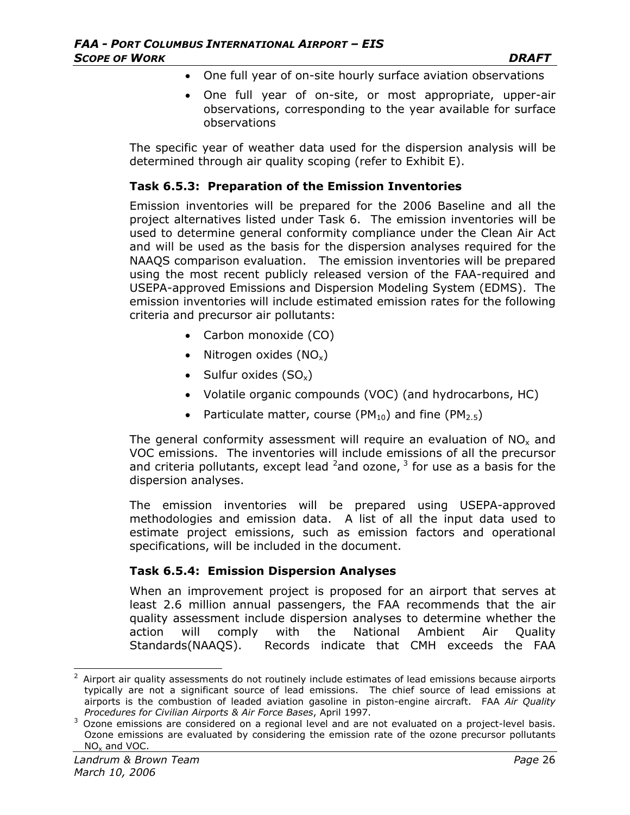- One full year of on-site hourly surface aviation observations
- One full year of on-site, or most appropriate, upper-air observations, corresponding to the year available for surface observations

The specific year of weather data used for the dispersion analysis will be determined through air quality scoping (refer to Exhibit E).

#### **Task 6.5.3: Preparation of the Emission Inventories**

Emission inventories will be prepared for the 2006 Baseline and all the project alternatives listed under Task 6. The emission inventories will be used to determine general conformity compliance under the Clean Air Act and will be used as the basis for the dispersion analyses required for the NAAQS comparison evaluation. The emission inventories will be prepared using the most recent publicly released version of the FAA-required and USEPA-approved Emissions and Dispersion Modeling System (EDMS). The emission inventories will include estimated emission rates for the following criteria and precursor air pollutants:

- Carbon monoxide (CO)
- Nitrogen oxides  $(NO_x)$
- Sulfur oxides  $(SO_x)$
- Volatile organic compounds (VOC) (and hydrocarbons, HC)
- Particulate matter, course (PM<sub>10</sub>) and fine (PM<sub>2.5</sub>)

The general conformity assessment will require an evaluation of  $NO<sub>x</sub>$  and VOC emissions. The inventories will include emissions of all the precursor and criteria pollutants, except lead  $^2$ and ozone,  $^3$  for use as a basis for the dispersion analyses.

The emission inventories will be prepared using USEPA-approved methodologies and emission data. A list of all the input data used to estimate project emissions, such as emission factors and operational specifications, will be included in the document.

### **Task 6.5.4: Emission Dispersion Analyses**

When an improvement project is proposed for an airport that serves at least 2.6 million annual passengers, the FAA recommends that the air quality assessment include dispersion analyses to determine whether the action will comply with the National Ambient Air Quality Standards(NAAQS). Records indicate that CMH exceeds the FAA

 $\overline{\phantom{a}}$ 

 $2$  Airport air quality assessments do not routinely include estimates of lead emissions because airports typically are not a significant source of lead emissions. The chief source of lead emissions at airports is the combustion of leaded aviation gasoline in piston-engine aircraft. FAA *Air Quality Procedures for Civilian Airports & Air Force Bases*, April 1997.

 $3$  Ozone emissions are considered on a regional level and are not evaluated on a project-level basis. Ozone emissions are evaluated by considering the emission rate of the ozone precursor pollutants NOx and VOC.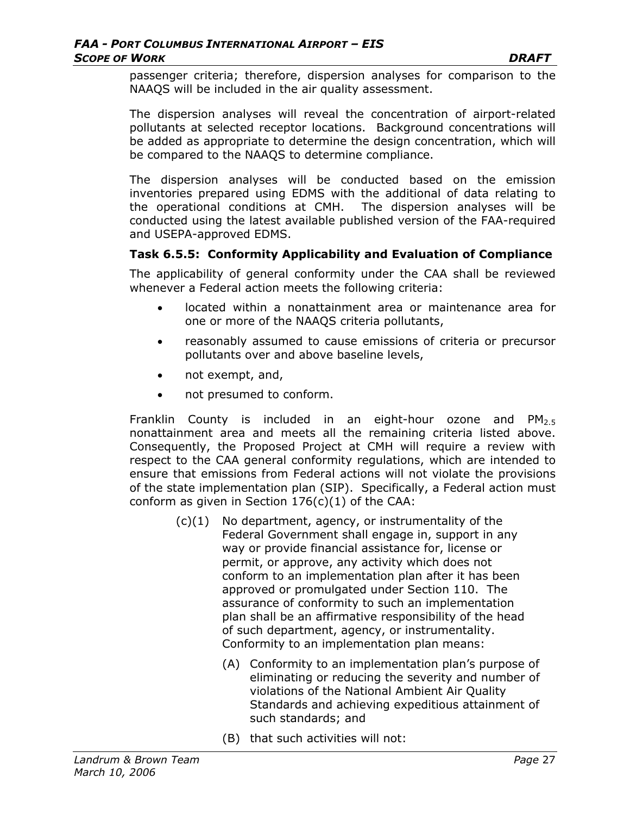passenger criteria; therefore, dispersion analyses for comparison to the NAAQS will be included in the air quality assessment.

The dispersion analyses will reveal the concentration of airport-related pollutants at selected receptor locations. Background concentrations will be added as appropriate to determine the design concentration, which will be compared to the NAAQS to determine compliance.

The dispersion analyses will be conducted based on the emission inventories prepared using EDMS with the additional of data relating to the operational conditions at CMH. The dispersion analyses will be conducted using the latest available published version of the FAA-required and USEPA-approved EDMS.

### **Task 6.5.5: Conformity Applicability and Evaluation of Compliance**

The applicability of general conformity under the CAA shall be reviewed whenever a Federal action meets the following criteria:

- located within a nonattainment area or maintenance area for one or more of the NAAQS criteria pollutants,
- reasonably assumed to cause emissions of criteria or precursor pollutants over and above baseline levels,
- not exempt, and,
- not presumed to conform.

Franklin County is included in an eight-hour ozone and  $PM_{2.5}$ nonattainment area and meets all the remaining criteria listed above. Consequently, the Proposed Project at CMH will require a review with respect to the CAA general conformity regulations, which are intended to ensure that emissions from Federal actions will not violate the provisions of the state implementation plan (SIP). Specifically, a Federal action must conform as given in Section  $176(c)(1)$  of the CAA:

- (c)(1) No department, agency, or instrumentality of the Federal Government shall engage in, support in any way or provide financial assistance for, license or permit, or approve, any activity which does not conform to an implementation plan after it has been approved or promulgated under Section 110. The assurance of conformity to such an implementation plan shall be an affirmative responsibility of the head of such department, agency, or instrumentality. Conformity to an implementation plan means:
	- (A) Conformity to an implementation plan's purpose of eliminating or reducing the severity and number of violations of the National Ambient Air Quality Standards and achieving expeditious attainment of such standards; and
	- (B) that such activities will not: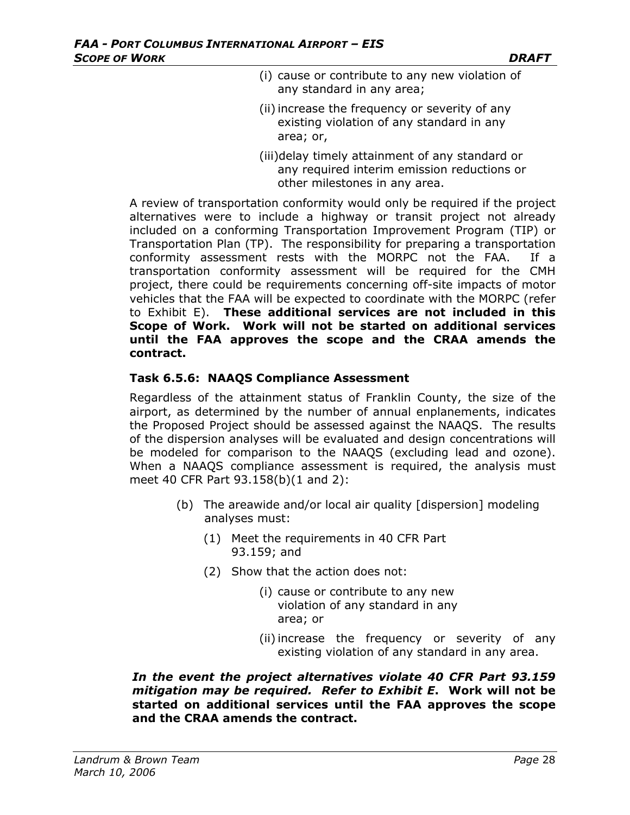- (i) cause or contribute to any new violation of any standard in any area;
- (ii) increase the frequency or severity of any existing violation of any standard in any area; or,
- (iii)delay timely attainment of any standard or any required interim emission reductions or other milestones in any area.

A review of transportation conformity would only be required if the project alternatives were to include a highway or transit project not already included on a conforming Transportation Improvement Program (TIP) or Transportation Plan (TP). The responsibility for preparing a transportation conformity assessment rests with the MORPC not the FAA. If a transportation conformity assessment will be required for the CMH project, there could be requirements concerning off-site impacts of motor vehicles that the FAA will be expected to coordinate with the MORPC (refer to Exhibit E). **These additional services are not included in this Scope of Work. Work will not be started on additional services until the FAA approves the scope and the CRAA amends the contract.** 

### **Task 6.5.6: NAAQS Compliance Assessment**

Regardless of the attainment status of Franklin County, the size of the airport, as determined by the number of annual enplanements, indicates the Proposed Project should be assessed against the NAAQS. The results of the dispersion analyses will be evaluated and design concentrations will be modeled for comparison to the NAAQS (excluding lead and ozone). When a NAAQS compliance assessment is required, the analysis must meet 40 CFR Part 93.158(b)(1 and 2):

- (b) The areawide and/or local air quality [dispersion] modeling analyses must:
	- (1) Meet the requirements in 40 CFR Part 93.159; and
	- (2) Show that the action does not:
		- (i) cause or contribute to any new violation of any standard in any area; or
		- (ii) increase the frequency or severity of any existing violation of any standard in any area.

*In the event the project alternatives violate 40 CFR Part 93.159 mitigation may be required. Refer to Exhibit E***. Work will not be started on additional services until the FAA approves the scope and the CRAA amends the contract.**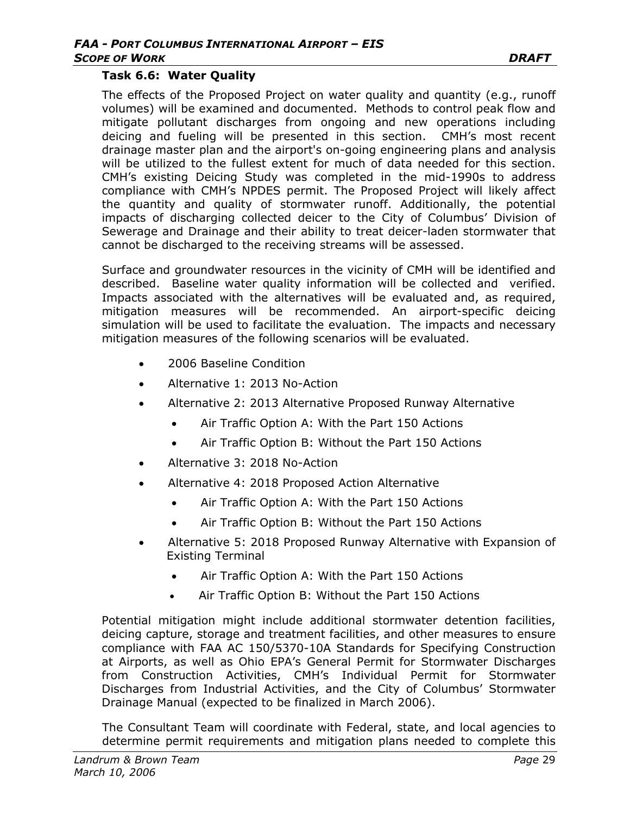#### **Task 6.6: Water Quality**

The effects of the Proposed Project on water quality and quantity (e.g., runoff volumes) will be examined and documented. Methods to control peak flow and mitigate pollutant discharges from ongoing and new operations including deicing and fueling will be presented in this section. CMH's most recent drainage master plan and the airport's on-going engineering plans and analysis will be utilized to the fullest extent for much of data needed for this section. CMH's existing Deicing Study was completed in the mid-1990s to address compliance with CMH's NPDES permit. The Proposed Project will likely affect the quantity and quality of stormwater runoff. Additionally, the potential impacts of discharging collected deicer to the City of Columbus' Division of Sewerage and Drainage and their ability to treat deicer-laden stormwater that cannot be discharged to the receiving streams will be assessed.

Surface and groundwater resources in the vicinity of CMH will be identified and described. Baseline water quality information will be collected and verified. Impacts associated with the alternatives will be evaluated and, as required, mitigation measures will be recommended. An airport-specific deicing simulation will be used to facilitate the evaluation. The impacts and necessary mitigation measures of the following scenarios will be evaluated.

- 2006 Baseline Condition
- Alternative 1: 2013 No-Action
- Alternative 2: 2013 Alternative Proposed Runway Alternative
	- Air Traffic Option A: With the Part 150 Actions
	- Air Traffic Option B: Without the Part 150 Actions
- Alternative 3: 2018 No-Action
- Alternative 4: 2018 Proposed Action Alternative
	- Air Traffic Option A: With the Part 150 Actions
	- Air Traffic Option B: Without the Part 150 Actions
- Alternative 5: 2018 Proposed Runway Alternative with Expansion of Existing Terminal
	- Air Traffic Option A: With the Part 150 Actions
	- Air Traffic Option B: Without the Part 150 Actions

Potential mitigation might include additional stormwater detention facilities, deicing capture, storage and treatment facilities, and other measures to ensure compliance with FAA AC 150/5370-10A Standards for Specifying Construction at Airports, as well as Ohio EPA's General Permit for Stormwater Discharges from Construction Activities, CMH's Individual Permit for Stormwater Discharges from Industrial Activities, and the City of Columbus' Stormwater Drainage Manual (expected to be finalized in March 2006).

The Consultant Team will coordinate with Federal, state, and local agencies to determine permit requirements and mitigation plans needed to complete this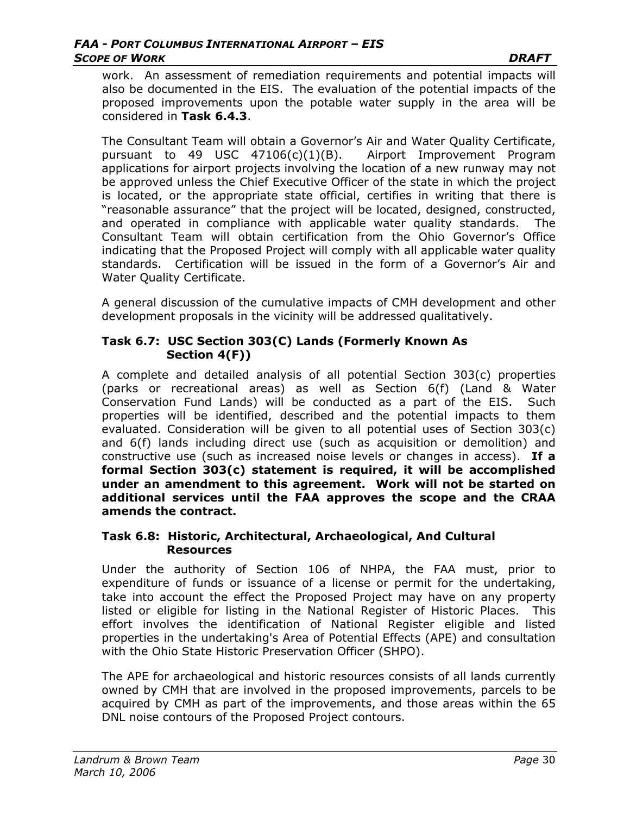work. An assessment of remediation requirements and potential impacts will also be documented in the EIS. The evaluation of the potential impacts of the proposed improvements upon the potable water supply in the area will be considered in **Task 6.4.3**.

The Consultant Team will obtain a Governor's Air and Water Quality Certificate, pursuant to 49 USC 47106(c)(1)(B). Airport Improvement Program applications for airport projects involving the location of a new runway may not be approved unless the Chief Executive Officer of the state in which the project is located, or the appropriate state official, certifies in writing that there is "reasonable assurance" that the project will be located, designed, constructed, and operated in compliance with applicable water quality standards. The Consultant Team will obtain certification from the Ohio Governor's Office indicating that the Proposed Project will comply with all applicable water quality standards. Certification will be issued in the form of a Governor's Air and Water Quality Certificate.

A general discussion of the cumulative impacts of CMH development and other development proposals in the vicinity will be addressed qualitatively.

### **Task 6.7: USC Section 303(C) Lands (Formerly Known As Section 4(F))**

A complete and detailed analysis of all potential Section 303(c) properties (parks or recreational areas) as well as Section 6(f) (Land & Water Conservation Fund Lands) will be conducted as a part of the EIS. Such properties will be identified, described and the potential impacts to them evaluated. Consideration will be given to all potential uses of Section 303(c) and 6(f) lands including direct use (such as acquisition or demolition) and constructive use (such as increased noise levels or changes in access). **If a formal Section 303(c) statement is required, it will be accomplished under an amendment to this agreement. Work will not be started on additional services until the FAA approves the scope and the CRAA amends the contract.** 

### **Task 6.8: Historic, Architectural, Archaeological, And Cultural Resources**

Under the authority of Section 106 of NHPA, the FAA must, prior to expenditure of funds or issuance of a license or permit for the undertaking, take into account the effect the Proposed Project may have on any property listed or eligible for listing in the National Register of Historic Places. This effort involves the identification of National Register eligible and listed properties in the undertaking's Area of Potential Effects (APE) and consultation with the Ohio State Historic Preservation Officer (SHPO).

The APE for archaeological and historic resources consists of all lands currently owned by CMH that are involved in the proposed improvements, parcels to be acquired by CMH as part of the improvements, and those areas within the 65 DNL noise contours of the Proposed Project contours.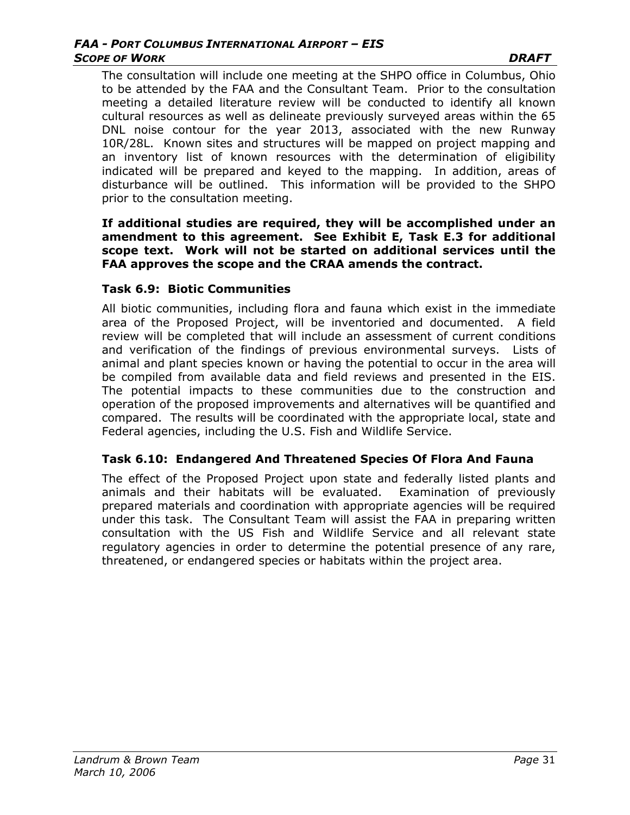#### *FAA - PORT COLUMBUS INTERNATIONAL AIRPORT – EIS*  **SCOPE OF WORK DRAFT**

The consultation will include one meeting at the SHPO office in Columbus, Ohio to be attended by the FAA and the Consultant Team. Prior to the consultation meeting a detailed literature review will be conducted to identify all known cultural resources as well as delineate previously surveyed areas within the 65 DNL noise contour for the year 2013, associated with the new Runway 10R/28L. Known sites and structures will be mapped on project mapping and an inventory list of known resources with the determination of eligibility indicated will be prepared and keyed to the mapping. In addition, areas of disturbance will be outlined. This information will be provided to the SHPO prior to the consultation meeting.

#### **If additional studies are required, they will be accomplished under an amendment to this agreement. See Exhibit E, Task E.3 for additional scope text. Work will not be started on additional services until the FAA approves the scope and the CRAA amends the contract.**

### **Task 6.9: Biotic Communities**

All biotic communities, including flora and fauna which exist in the immediate area of the Proposed Project, will be inventoried and documented. A field review will be completed that will include an assessment of current conditions and verification of the findings of previous environmental surveys. Lists of animal and plant species known or having the potential to occur in the area will be compiled from available data and field reviews and presented in the EIS. The potential impacts to these communities due to the construction and operation of the proposed improvements and alternatives will be quantified and compared. The results will be coordinated with the appropriate local, state and Federal agencies, including the U.S. Fish and Wildlife Service.

### **Task 6.10: Endangered And Threatened Species Of Flora And Fauna**

The effect of the Proposed Project upon state and federally listed plants and animals and their habitats will be evaluated. Examination of previously prepared materials and coordination with appropriate agencies will be required under this task. The Consultant Team will assist the FAA in preparing written consultation with the US Fish and Wildlife Service and all relevant state regulatory agencies in order to determine the potential presence of any rare, threatened, or endangered species or habitats within the project area.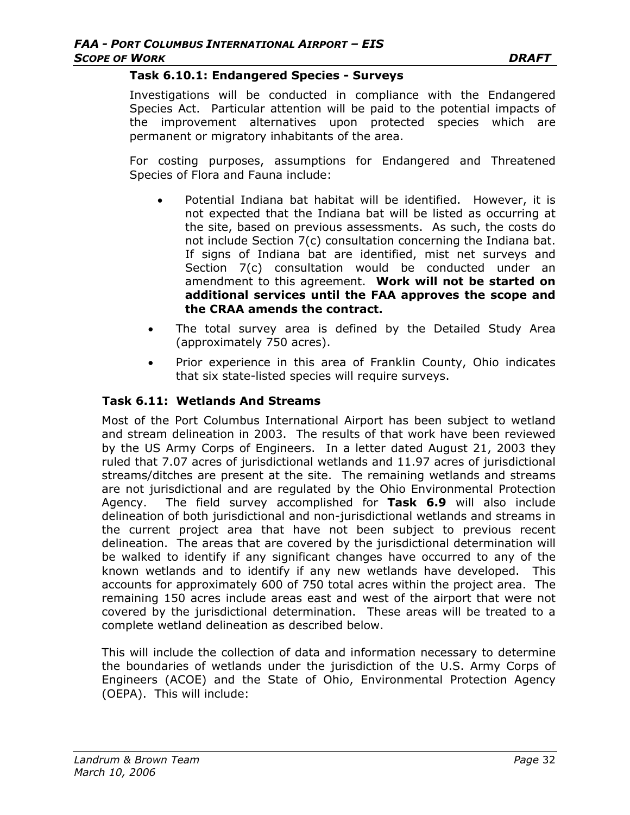#### **Task 6.10.1: Endangered Species - Surveys**

Investigations will be conducted in compliance with the Endangered Species Act. Particular attention will be paid to the potential impacts of the improvement alternatives upon protected species which are permanent or migratory inhabitants of the area.

For costing purposes, assumptions for Endangered and Threatened Species of Flora and Fauna include:

- Potential Indiana bat habitat will be identified. However, it is not expected that the Indiana bat will be listed as occurring at the site, based on previous assessments. As such, the costs do not include Section 7(c) consultation concerning the Indiana bat. If signs of Indiana bat are identified, mist net surveys and Section 7(c) consultation would be conducted under an amendment to this agreement. **Work will not be started on additional services until the FAA approves the scope and the CRAA amends the contract.**
- The total survey area is defined by the Detailed Study Area (approximately 750 acres).
- Prior experience in this area of Franklin County, Ohio indicates that six state-listed species will require surveys.

#### **Task 6.11: Wetlands And Streams**

Most of the Port Columbus International Airport has been subject to wetland and stream delineation in 2003. The results of that work have been reviewed by the US Army Corps of Engineers. In a letter dated August 21, 2003 they ruled that 7.07 acres of jurisdictional wetlands and 11.97 acres of jurisdictional streams/ditches are present at the site. The remaining wetlands and streams are not jurisdictional and are regulated by the Ohio Environmental Protection Agency. The field survey accomplished for **Task 6.9** will also include delineation of both jurisdictional and non-jurisdictional wetlands and streams in the current project area that have not been subject to previous recent delineation. The areas that are covered by the jurisdictional determination will be walked to identify if any significant changes have occurred to any of the known wetlands and to identify if any new wetlands have developed. This accounts for approximately 600 of 750 total acres within the project area. The remaining 150 acres include areas east and west of the airport that were not covered by the jurisdictional determination. These areas will be treated to a complete wetland delineation as described below.

This will include the collection of data and information necessary to determine the boundaries of wetlands under the jurisdiction of the U.S. Army Corps of Engineers (ACOE) and the State of Ohio, Environmental Protection Agency (OEPA). This will include: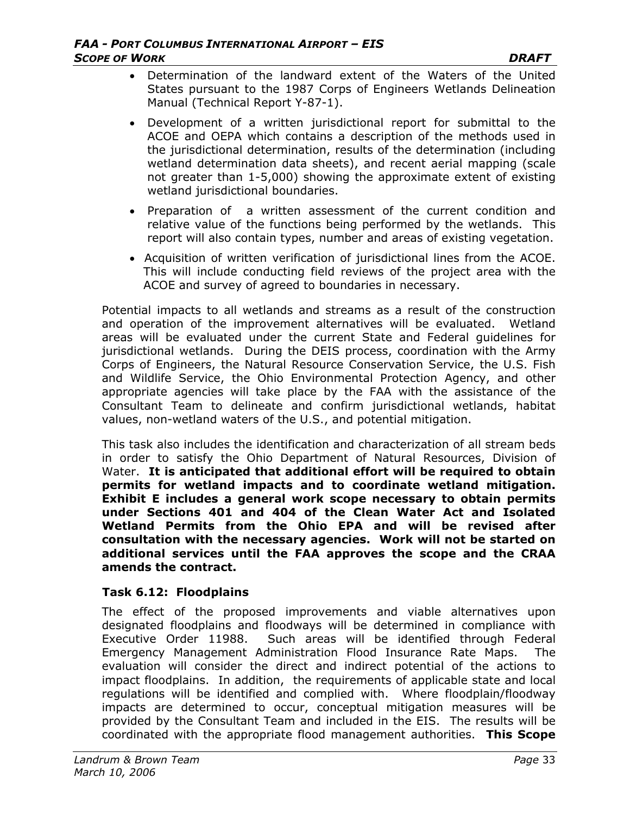- Determination of the landward extent of the Waters of the United States pursuant to the 1987 Corps of Engineers Wetlands Delineation Manual (Technical Report Y-87-1).
- Development of a written jurisdictional report for submittal to the ACOE and OEPA which contains a description of the methods used in the jurisdictional determination, results of the determination (including wetland determination data sheets), and recent aerial mapping (scale not greater than 1-5,000) showing the approximate extent of existing wetland jurisdictional boundaries.
- Preparation of a written assessment of the current condition and relative value of the functions being performed by the wetlands. This report will also contain types, number and areas of existing vegetation.
- Acquisition of written verification of jurisdictional lines from the ACOE. This will include conducting field reviews of the project area with the ACOE and survey of agreed to boundaries in necessary.

Potential impacts to all wetlands and streams as a result of the construction and operation of the improvement alternatives will be evaluated. Wetland areas will be evaluated under the current State and Federal guidelines for jurisdictional wetlands. During the DEIS process, coordination with the Army Corps of Engineers, the Natural Resource Conservation Service, the U.S. Fish and Wildlife Service, the Ohio Environmental Protection Agency, and other appropriate agencies will take place by the FAA with the assistance of the Consultant Team to delineate and confirm jurisdictional wetlands, habitat values, non-wetland waters of the U.S., and potential mitigation.

This task also includes the identification and characterization of all stream beds in order to satisfy the Ohio Department of Natural Resources, Division of Water. **It is anticipated that additional effort will be required to obtain permits for wetland impacts and to coordinate wetland mitigation. Exhibit E includes a general work scope necessary to obtain permits under Sections 401 and 404 of the Clean Water Act and Isolated Wetland Permits from the Ohio EPA and will be revised after consultation with the necessary agencies. Work will not be started on additional services until the FAA approves the scope and the CRAA amends the contract.**

### **Task 6.12: Floodplains**

The effect of the proposed improvements and viable alternatives upon designated floodplains and floodways will be determined in compliance with Executive Order 11988. Such areas will be identified through Federal Emergency Management Administration Flood Insurance Rate Maps. The evaluation will consider the direct and indirect potential of the actions to impact floodplains. In addition, the requirements of applicable state and local regulations will be identified and complied with. Where floodplain/floodway impacts are determined to occur, conceptual mitigation measures will be provided by the Consultant Team and included in the EIS. The results will be coordinated with the appropriate flood management authorities. **This Scope**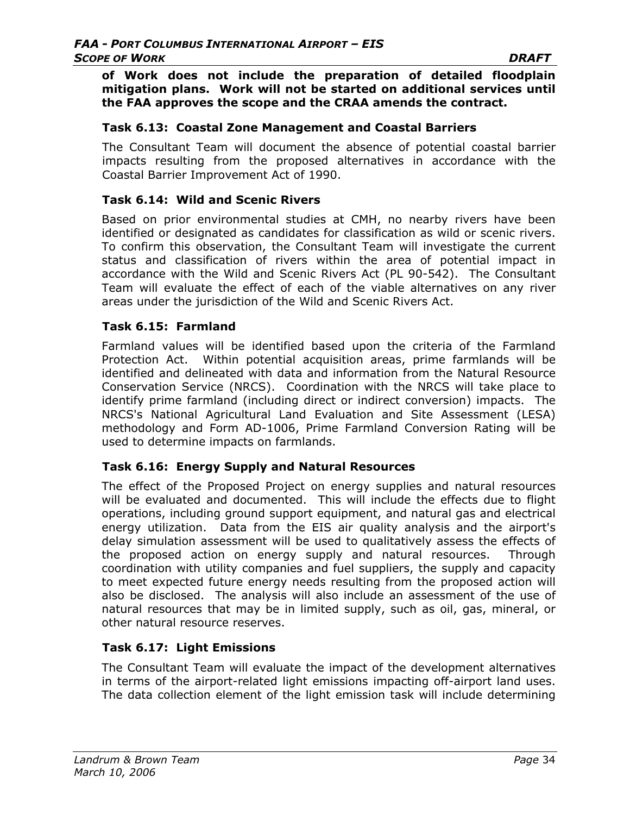**of Work does not include the preparation of detailed floodplain mitigation plans. Work will not be started on additional services until the FAA approves the scope and the CRAA amends the contract.** 

### **Task 6.13: Coastal Zone Management and Coastal Barriers**

The Consultant Team will document the absence of potential coastal barrier impacts resulting from the proposed alternatives in accordance with the Coastal Barrier Improvement Act of 1990.

### **Task 6.14: Wild and Scenic Rivers**

Based on prior environmental studies at CMH, no nearby rivers have been identified or designated as candidates for classification as wild or scenic rivers. To confirm this observation, the Consultant Team will investigate the current status and classification of rivers within the area of potential impact in accordance with the Wild and Scenic Rivers Act (PL 90-542). The Consultant Team will evaluate the effect of each of the viable alternatives on any river areas under the jurisdiction of the Wild and Scenic Rivers Act.

### **Task 6.15: Farmland**

Farmland values will be identified based upon the criteria of the Farmland Protection Act. Within potential acquisition areas, prime farmlands will be identified and delineated with data and information from the Natural Resource Conservation Service (NRCS). Coordination with the NRCS will take place to identify prime farmland (including direct or indirect conversion) impacts. The NRCS's National Agricultural Land Evaluation and Site Assessment (LESA) methodology and Form AD-1006, Prime Farmland Conversion Rating will be used to determine impacts on farmlands.

### **Task 6.16: Energy Supply and Natural Resources**

The effect of the Proposed Project on energy supplies and natural resources will be evaluated and documented. This will include the effects due to flight operations, including ground support equipment, and natural gas and electrical energy utilization. Data from the EIS air quality analysis and the airport's delay simulation assessment will be used to qualitatively assess the effects of the proposed action on energy supply and natural resources. Through coordination with utility companies and fuel suppliers, the supply and capacity to meet expected future energy needs resulting from the proposed action will also be disclosed. The analysis will also include an assessment of the use of natural resources that may be in limited supply, such as oil, gas, mineral, or other natural resource reserves.

### **Task 6.17: Light Emissions**

The Consultant Team will evaluate the impact of the development alternatives in terms of the airport-related light emissions impacting off-airport land uses. The data collection element of the light emission task will include determining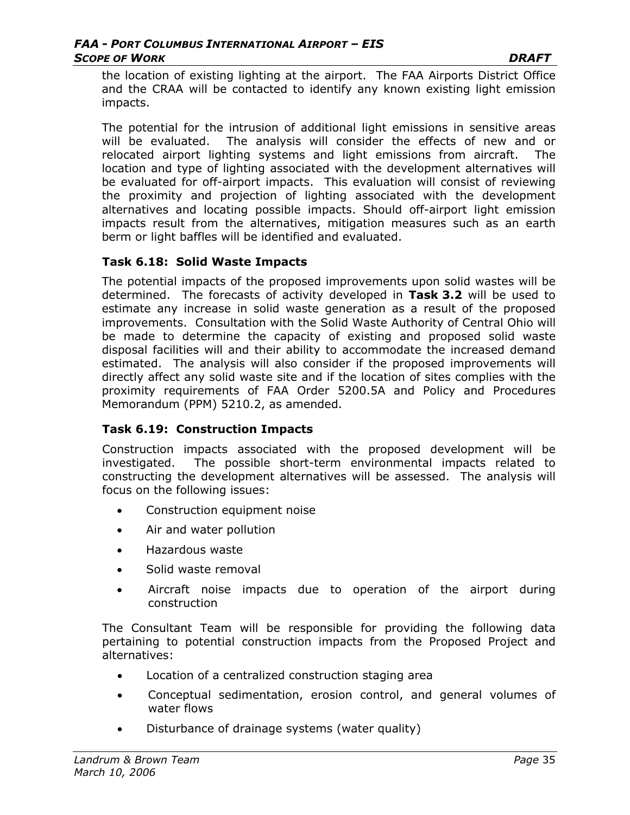the location of existing lighting at the airport. The FAA Airports District Office and the CRAA will be contacted to identify any known existing light emission impacts.

The potential for the intrusion of additional light emissions in sensitive areas will be evaluated. The analysis will consider the effects of new and or relocated airport lighting systems and light emissions from aircraft. The location and type of lighting associated with the development alternatives will be evaluated for off-airport impacts. This evaluation will consist of reviewing the proximity and projection of lighting associated with the development alternatives and locating possible impacts. Should off-airport light emission impacts result from the alternatives, mitigation measures such as an earth berm or light baffles will be identified and evaluated.

### **Task 6.18: Solid Waste Impacts**

The potential impacts of the proposed improvements upon solid wastes will be determined. The forecasts of activity developed in **Task 3.2** will be used to estimate any increase in solid waste generation as a result of the proposed improvements. Consultation with the Solid Waste Authority of Central Ohio will be made to determine the capacity of existing and proposed solid waste disposal facilities will and their ability to accommodate the increased demand estimated. The analysis will also consider if the proposed improvements will directly affect any solid waste site and if the location of sites complies with the proximity requirements of FAA Order 5200.5A and Policy and Procedures Memorandum (PPM) 5210.2, as amended.

### **Task 6.19: Construction Impacts**

Construction impacts associated with the proposed development will be investigated. The possible short-term environmental impacts related to constructing the development alternatives will be assessed. The analysis will focus on the following issues:

- Construction equipment noise
- Air and water pollution
- Hazardous waste
- Solid waste removal
- Aircraft noise impacts due to operation of the airport during construction

The Consultant Team will be responsible for providing the following data pertaining to potential construction impacts from the Proposed Project and alternatives:

- Location of a centralized construction staging area
- Conceptual sedimentation, erosion control, and general volumes of water flows
- Disturbance of drainage systems (water quality)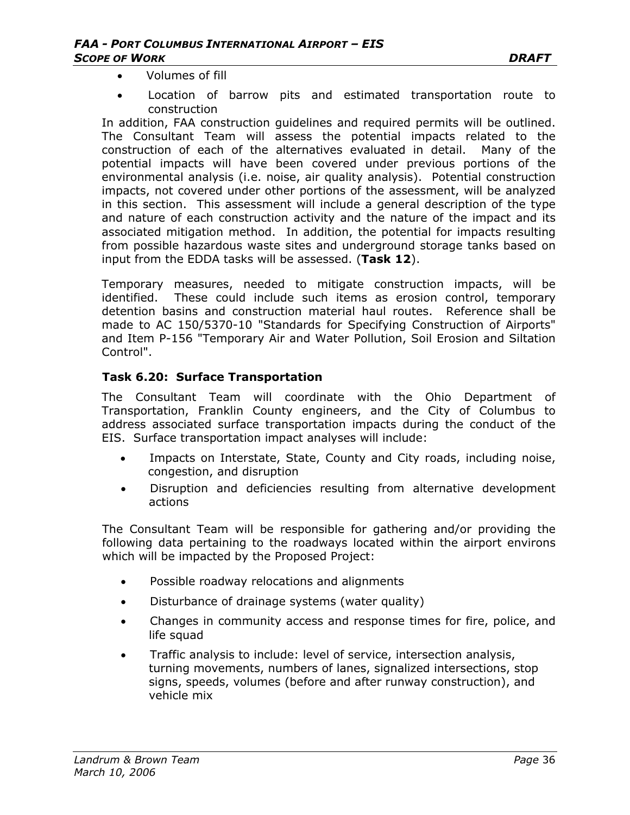- Volumes of fill
- Location of barrow pits and estimated transportation route to construction

In addition, FAA construction guidelines and required permits will be outlined. The Consultant Team will assess the potential impacts related to the construction of each of the alternatives evaluated in detail. Many of the potential impacts will have been covered under previous portions of the environmental analysis (i.e. noise, air quality analysis). Potential construction impacts, not covered under other portions of the assessment, will be analyzed in this section. This assessment will include a general description of the type and nature of each construction activity and the nature of the impact and its associated mitigation method. In addition, the potential for impacts resulting from possible hazardous waste sites and underground storage tanks based on input from the EDDA tasks will be assessed. (**Task 12**).

Temporary measures, needed to mitigate construction impacts, will be identified. These could include such items as erosion control, temporary detention basins and construction material haul routes. Reference shall be made to AC 150/5370-10 "Standards for Specifying Construction of Airports" and Item P-156 "Temporary Air and Water Pollution, Soil Erosion and Siltation Control".

#### **Task 6.20: Surface Transportation**

The Consultant Team will coordinate with the Ohio Department of Transportation, Franklin County engineers, and the City of Columbus to address associated surface transportation impacts during the conduct of the EIS. Surface transportation impact analyses will include:

- Impacts on Interstate, State, County and City roads, including noise, congestion, and disruption
- Disruption and deficiencies resulting from alternative development actions

The Consultant Team will be responsible for gathering and/or providing the following data pertaining to the roadways located within the airport environs which will be impacted by the Proposed Project:

- Possible roadway relocations and alignments
- Disturbance of drainage systems (water quality)
- Changes in community access and response times for fire, police, and life squad
- Traffic analysis to include: level of service, intersection analysis, turning movements, numbers of lanes, signalized intersections, stop signs, speeds, volumes (before and after runway construction), and vehicle mix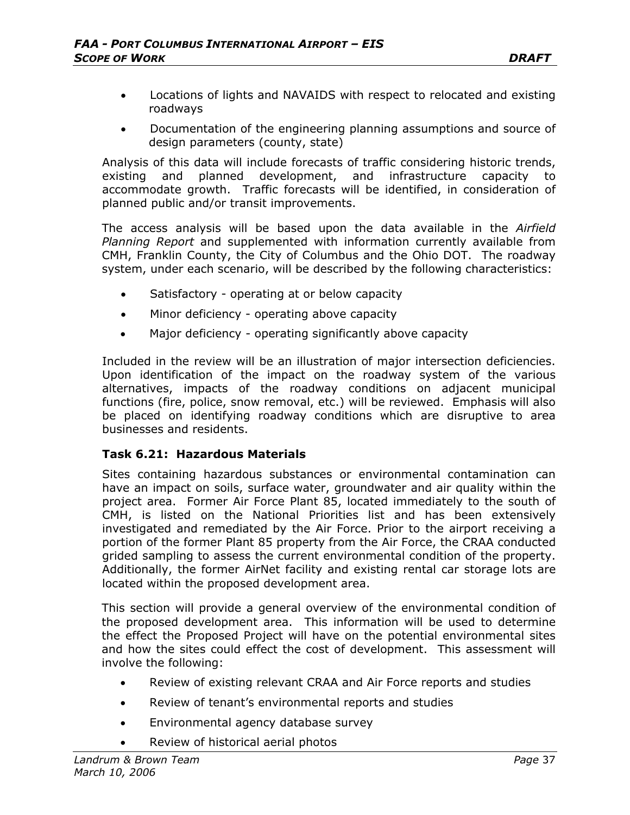- Locations of lights and NAVAIDS with respect to relocated and existing roadways
- Documentation of the engineering planning assumptions and source of design parameters (county, state)

Analysis of this data will include forecasts of traffic considering historic trends, existing and planned development, and infrastructure capacity to accommodate growth. Traffic forecasts will be identified, in consideration of planned public and/or transit improvements.

The access analysis will be based upon the data available in the *Airfield Planning Report* and supplemented with information currently available from CMH, Franklin County, the City of Columbus and the Ohio DOT. The roadway system, under each scenario, will be described by the following characteristics:

- Satisfactory operating at or below capacity
- Minor deficiency operating above capacity
- Major deficiency operating significantly above capacity

Included in the review will be an illustration of major intersection deficiencies. Upon identification of the impact on the roadway system of the various alternatives, impacts of the roadway conditions on adjacent municipal functions (fire, police, snow removal, etc.) will be reviewed. Emphasis will also be placed on identifying roadway conditions which are disruptive to area businesses and residents.

### **Task 6.21: Hazardous Materials**

Sites containing hazardous substances or environmental contamination can have an impact on soils, surface water, groundwater and air quality within the project area. Former Air Force Plant 85, located immediately to the south of CMH, is listed on the National Priorities list and has been extensively investigated and remediated by the Air Force. Prior to the airport receiving a portion of the former Plant 85 property from the Air Force, the CRAA conducted grided sampling to assess the current environmental condition of the property. Additionally, the former AirNet facility and existing rental car storage lots are located within the proposed development area.

This section will provide a general overview of the environmental condition of the proposed development area. This information will be used to determine the effect the Proposed Project will have on the potential environmental sites and how the sites could effect the cost of development. This assessment will involve the following:

- Review of existing relevant CRAA and Air Force reports and studies
- Review of tenant's environmental reports and studies
- Environmental agency database survey
- Review of historical aerial photos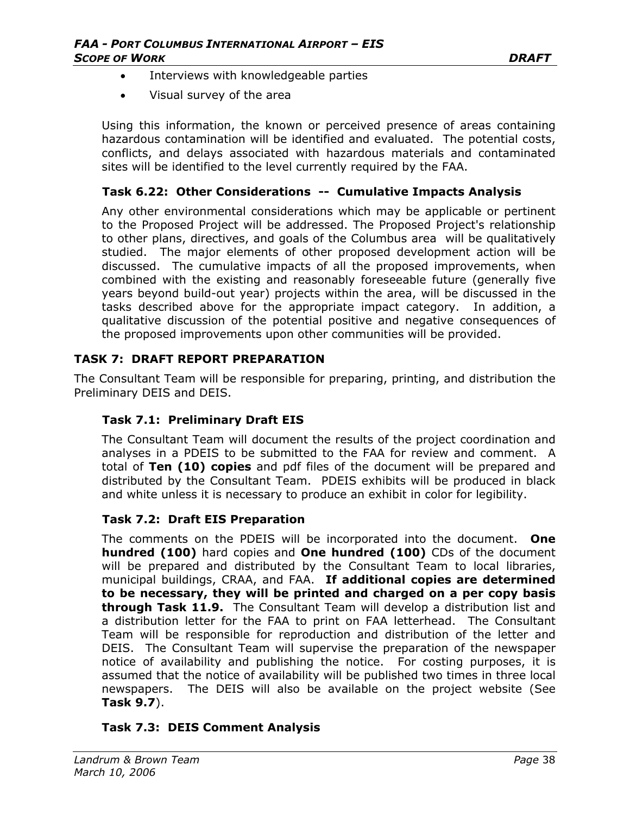- Interviews with knowledgeable parties
- Visual survey of the area

Using this information, the known or perceived presence of areas containing hazardous contamination will be identified and evaluated. The potential costs, conflicts, and delays associated with hazardous materials and contaminated sites will be identified to the level currently required by the FAA.

#### **Task 6.22: Other Considerations -- Cumulative Impacts Analysis**

Any other environmental considerations which may be applicable or pertinent to the Proposed Project will be addressed. The Proposed Project's relationship to other plans, directives, and goals of the Columbus area will be qualitatively studied. The major elements of other proposed development action will be discussed. The cumulative impacts of all the proposed improvements, when combined with the existing and reasonably foreseeable future (generally five years beyond build-out year) projects within the area, will be discussed in the tasks described above for the appropriate impact category. In addition, a qualitative discussion of the potential positive and negative consequences of the proposed improvements upon other communities will be provided.

#### **TASK 7: DRAFT REPORT PREPARATION**

The Consultant Team will be responsible for preparing, printing, and distribution the Preliminary DEIS and DEIS.

### **Task 7.1: Preliminary Draft EIS**

The Consultant Team will document the results of the project coordination and analyses in a PDEIS to be submitted to the FAA for review and comment. A total of **Ten (10) copies** and pdf files of the document will be prepared and distributed by the Consultant Team. PDEIS exhibits will be produced in black and white unless it is necessary to produce an exhibit in color for legibility.

#### **Task 7.2: Draft EIS Preparation**

The comments on the PDEIS will be incorporated into the document. **One hundred (100)** hard copies and **One hundred (100)** CDs of the document will be prepared and distributed by the Consultant Team to local libraries, municipal buildings, CRAA, and FAA. **If additional copies are determined to be necessary, they will be printed and charged on a per copy basis through Task 11.9.** The Consultant Team will develop a distribution list and a distribution letter for the FAA to print on FAA letterhead. The Consultant Team will be responsible for reproduction and distribution of the letter and DEIS. The Consultant Team will supervise the preparation of the newspaper notice of availability and publishing the notice. For costing purposes, it is assumed that the notice of availability will be published two times in three local newspapers. The DEIS will also be available on the project website (See **Task 9.7**).

### **Task 7.3: DEIS Comment Analysis**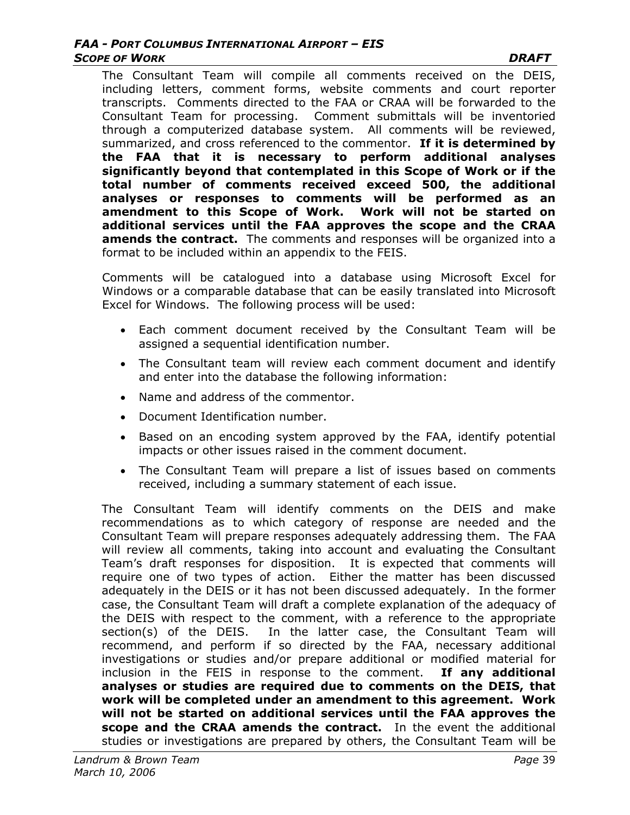#### *FAA - PORT COLUMBUS INTERNATIONAL AIRPORT – EIS*  **SCOPE OF WORK DRAFT**

The Consultant Team will compile all comments received on the DEIS, including letters, comment forms, website comments and court reporter transcripts. Comments directed to the FAA or CRAA will be forwarded to the Consultant Team for processing. Comment submittals will be inventoried through a computerized database system. All comments will be reviewed, summarized, and cross referenced to the commentor. **If it is determined by the FAA that it is necessary to perform additional analyses significantly beyond that contemplated in this Scope of Work or if the total number of comments received exceed 500, the additional analyses or responses to comments will be performed as an amendment to this Scope of Work. Work will not be started on additional services until the FAA approves the scope and the CRAA amends the contract.** The comments and responses will be organized into a format to be included within an appendix to the FEIS.

Comments will be catalogued into a database using Microsoft Excel for Windows or a comparable database that can be easily translated into Microsoft Excel for Windows. The following process will be used:

- Each comment document received by the Consultant Team will be assigned a sequential identification number.
- The Consultant team will review each comment document and identify and enter into the database the following information:
- Name and address of the commentor.
- Document Identification number.
- Based on an encoding system approved by the FAA, identify potential impacts or other issues raised in the comment document.
- The Consultant Team will prepare a list of issues based on comments received, including a summary statement of each issue.

The Consultant Team will identify comments on the DEIS and make recommendations as to which category of response are needed and the Consultant Team will prepare responses adequately addressing them. The FAA will review all comments, taking into account and evaluating the Consultant Team's draft responses for disposition. It is expected that comments will require one of two types of action. Either the matter has been discussed adequately in the DEIS or it has not been discussed adequately. In the former case, the Consultant Team will draft a complete explanation of the adequacy of the DEIS with respect to the comment, with a reference to the appropriate section(s) of the DEIS. In the latter case, the Consultant Team will recommend, and perform if so directed by the FAA, necessary additional investigations or studies and/or prepare additional or modified material for inclusion in the FEIS in response to the comment. **If any additional analyses or studies are required due to comments on the DEIS, that work will be completed under an amendment to this agreement. Work will not be started on additional services until the FAA approves the scope and the CRAA amends the contract.** In the event the additional studies or investigations are prepared by others, the Consultant Team will be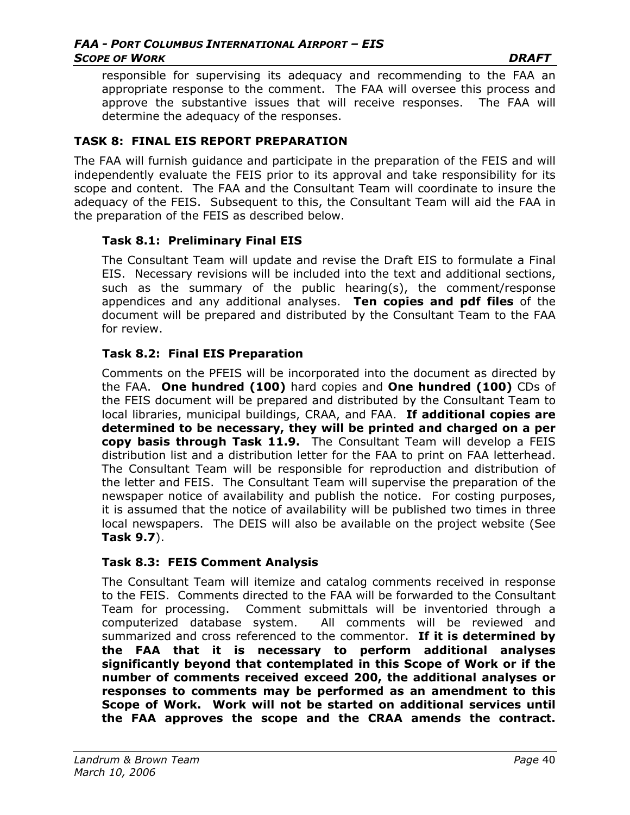responsible for supervising its adequacy and recommending to the FAA an appropriate response to the comment. The FAA will oversee this process and approve the substantive issues that will receive responses. The FAA will determine the adequacy of the responses.

### **TASK 8: FINAL EIS REPORT PREPARATION**

The FAA will furnish guidance and participate in the preparation of the FEIS and will independently evaluate the FEIS prior to its approval and take responsibility for its scope and content. The FAA and the Consultant Team will coordinate to insure the adequacy of the FEIS. Subsequent to this, the Consultant Team will aid the FAA in the preparation of the FEIS as described below.

### **Task 8.1: Preliminary Final EIS**

The Consultant Team will update and revise the Draft EIS to formulate a Final EIS. Necessary revisions will be included into the text and additional sections, such as the summary of the public hearing(s), the comment/response appendices and any additional analyses. **Ten copies and pdf files** of the document will be prepared and distributed by the Consultant Team to the FAA for review.

#### **Task 8.2: Final EIS Preparation**

Comments on the PFEIS will be incorporated into the document as directed by the FAA. **One hundred (100)** hard copies and **One hundred (100)** CDs of the FEIS document will be prepared and distributed by the Consultant Team to local libraries, municipal buildings, CRAA, and FAA. **If additional copies are determined to be necessary, they will be printed and charged on a per copy basis through Task 11.9.** The Consultant Team will develop a FEIS distribution list and a distribution letter for the FAA to print on FAA letterhead. The Consultant Team will be responsible for reproduction and distribution of the letter and FEIS. The Consultant Team will supervise the preparation of the newspaper notice of availability and publish the notice. For costing purposes, it is assumed that the notice of availability will be published two times in three local newspapers. The DEIS will also be available on the project website (See **Task 9.7**).

#### **Task 8.3: FEIS Comment Analysis**

The Consultant Team will itemize and catalog comments received in response to the FEIS. Comments directed to the FAA will be forwarded to the Consultant Team for processing. Comment submittals will be inventoried through a computerized database system. All comments will be reviewed and summarized and cross referenced to the commentor. **If it is determined by the FAA that it is necessary to perform additional analyses significantly beyond that contemplated in this Scope of Work or if the number of comments received exceed 200, the additional analyses or responses to comments may be performed as an amendment to this Scope of Work. Work will not be started on additional services until the FAA approves the scope and the CRAA amends the contract.**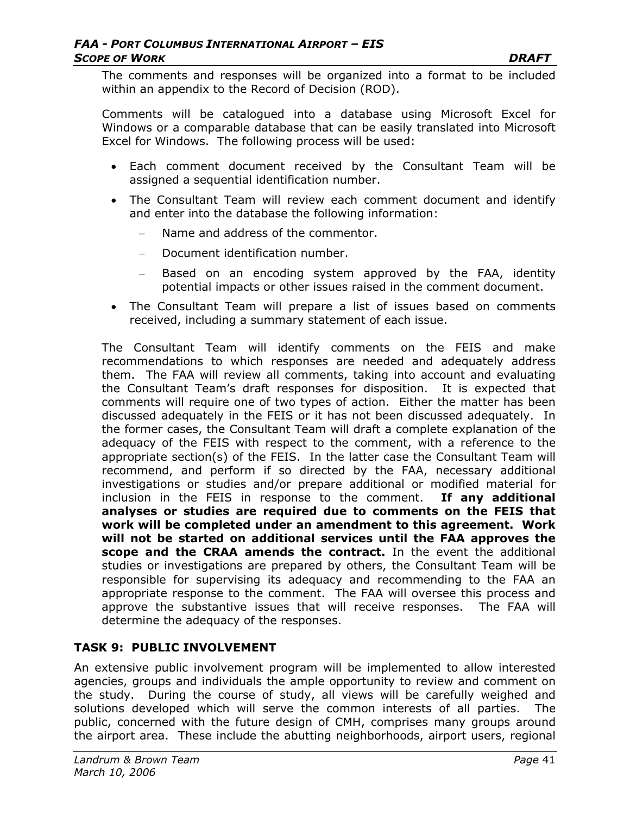The comments and responses will be organized into a format to be included within an appendix to the Record of Decision (ROD).

Comments will be catalogued into a database using Microsoft Excel for Windows or a comparable database that can be easily translated into Microsoft Excel for Windows. The following process will be used:

- Each comment document received by the Consultant Team will be assigned a sequential identification number.
- The Consultant Team will review each comment document and identify and enter into the database the following information:
	- Name and address of the commentor.
	- − Document identification number.
	- − Based on an encoding system approved by the FAA, identity potential impacts or other issues raised in the comment document.
- The Consultant Team will prepare a list of issues based on comments received, including a summary statement of each issue.

The Consultant Team will identify comments on the FEIS and make recommendations to which responses are needed and adequately address them. The FAA will review all comments, taking into account and evaluating the Consultant Team's draft responses for disposition. It is expected that comments will require one of two types of action. Either the matter has been discussed adequately in the FEIS or it has not been discussed adequately. In the former cases, the Consultant Team will draft a complete explanation of the adequacy of the FEIS with respect to the comment, with a reference to the appropriate section(s) of the FEIS. In the latter case the Consultant Team will recommend, and perform if so directed by the FAA, necessary additional investigations or studies and/or prepare additional or modified material for inclusion in the FEIS in response to the comment. **If any additional analyses or studies are required due to comments on the FEIS that work will be completed under an amendment to this agreement. Work will not be started on additional services until the FAA approves the scope and the CRAA amends the contract.** In the event the additional studies or investigations are prepared by others, the Consultant Team will be responsible for supervising its adequacy and recommending to the FAA an appropriate response to the comment. The FAA will oversee this process and approve the substantive issues that will receive responses. The FAA will determine the adequacy of the responses.

## **TASK 9: PUBLIC INVOLVEMENT**

An extensive public involvement program will be implemented to allow interested agencies, groups and individuals the ample opportunity to review and comment on the study. During the course of study, all views will be carefully weighed and solutions developed which will serve the common interests of all parties. The public, concerned with the future design of CMH, comprises many groups around the airport area. These include the abutting neighborhoods, airport users, regional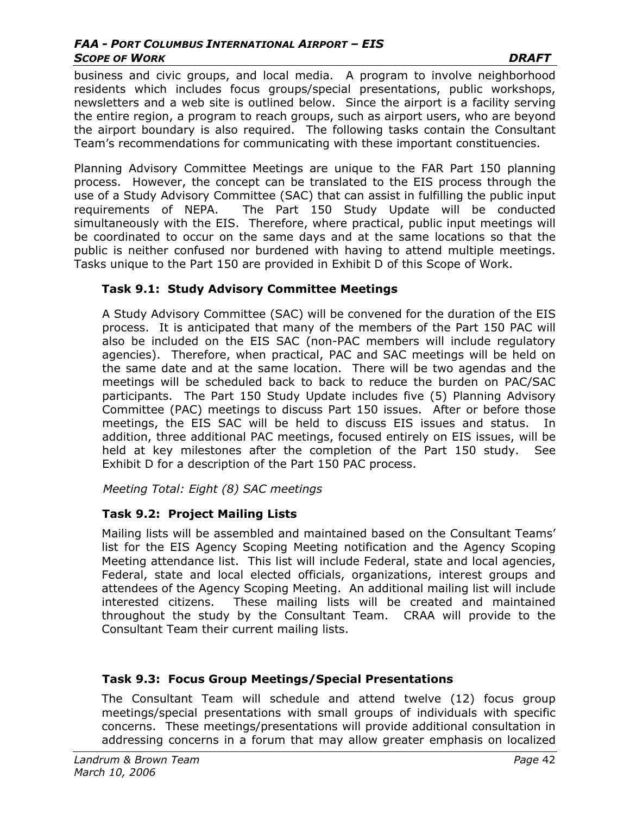#### *FAA - PORT COLUMBUS INTERNATIONAL AIRPORT – EIS*  **SCOPE OF WORK DRAFT**

business and civic groups, and local media. A program to involve neighborhood residents which includes focus groups/special presentations, public workshops, newsletters and a web site is outlined below. Since the airport is a facility serving the entire region, a program to reach groups, such as airport users, who are beyond the airport boundary is also required. The following tasks contain the Consultant Team's recommendations for communicating with these important constituencies.

Planning Advisory Committee Meetings are unique to the FAR Part 150 planning process. However, the concept can be translated to the EIS process through the use of a Study Advisory Committee (SAC) that can assist in fulfilling the public input requirements of NEPA. The Part 150 Study Update will be conducted simultaneously with the EIS. Therefore, where practical, public input meetings will be coordinated to occur on the same days and at the same locations so that the public is neither confused nor burdened with having to attend multiple meetings. Tasks unique to the Part 150 are provided in Exhibit D of this Scope of Work.

### **Task 9.1: Study Advisory Committee Meetings**

A Study Advisory Committee (SAC) will be convened for the duration of the EIS process. It is anticipated that many of the members of the Part 150 PAC will also be included on the EIS SAC (non-PAC members will include regulatory agencies). Therefore, when practical, PAC and SAC meetings will be held on the same date and at the same location. There will be two agendas and the meetings will be scheduled back to back to reduce the burden on PAC/SAC participants. The Part 150 Study Update includes five (5) Planning Advisory Committee (PAC) meetings to discuss Part 150 issues. After or before those meetings, the EIS SAC will be held to discuss EIS issues and status. In addition, three additional PAC meetings, focused entirely on EIS issues, will be held at key milestones after the completion of the Part 150 study. See Exhibit D for a description of the Part 150 PAC process.

### *Meeting Total: Eight (8) SAC meetings*

## **Task 9.2: Project Mailing Lists**

Mailing lists will be assembled and maintained based on the Consultant Teams' list for the EIS Agency Scoping Meeting notification and the Agency Scoping Meeting attendance list. This list will include Federal, state and local agencies, Federal, state and local elected officials, organizations, interest groups and attendees of the Agency Scoping Meeting. An additional mailing list will include interested citizens. These mailing lists will be created and maintained throughout the study by the Consultant Team. CRAA will provide to the Consultant Team their current mailing lists.

## **Task 9.3: Focus Group Meetings/Special Presentations**

The Consultant Team will schedule and attend twelve (12) focus group meetings/special presentations with small groups of individuals with specific concerns. These meetings/presentations will provide additional consultation in addressing concerns in a forum that may allow greater emphasis on localized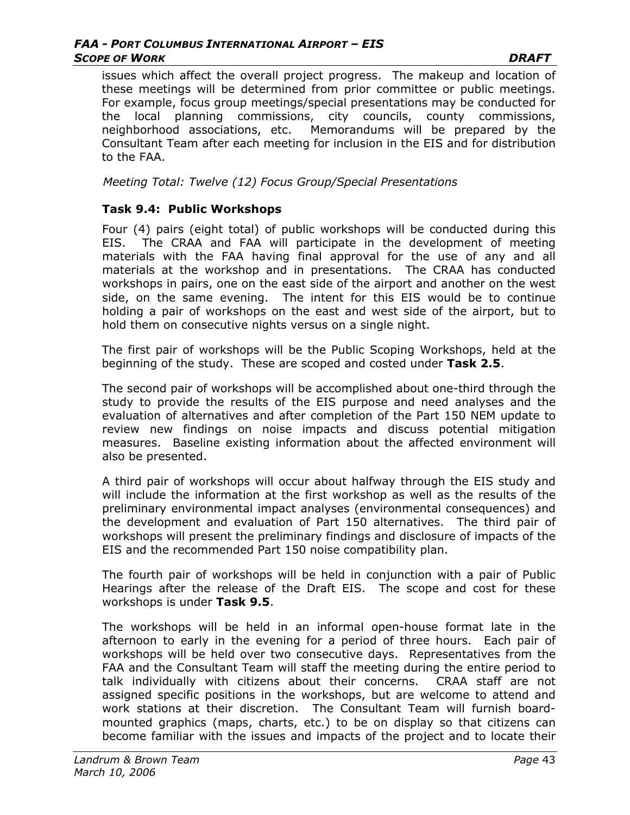issues which affect the overall project progress. The makeup and location of these meetings will be determined from prior committee or public meetings. For example, focus group meetings/special presentations may be conducted for the local planning commissions, city councils, county commissions, neighborhood associations, etc. Memorandums will be prepared by the Consultant Team after each meeting for inclusion in the EIS and for distribution to the FAA.

*Meeting Total: Twelve (12) Focus Group/Special Presentations* 

### **Task 9.4: Public Workshops**

Four (4) pairs (eight total) of public workshops will be conducted during this EIS. The CRAA and FAA will participate in the development of meeting materials with the FAA having final approval for the use of any and all materials at the workshop and in presentations. The CRAA has conducted workshops in pairs, one on the east side of the airport and another on the west side, on the same evening. The intent for this EIS would be to continue holding a pair of workshops on the east and west side of the airport, but to hold them on consecutive nights versus on a single night.

The first pair of workshops will be the Public Scoping Workshops, held at the beginning of the study. These are scoped and costed under **Task 2.5**.

The second pair of workshops will be accomplished about one-third through the study to provide the results of the EIS purpose and need analyses and the evaluation of alternatives and after completion of the Part 150 NEM update to review new findings on noise impacts and discuss potential mitigation measures. Baseline existing information about the affected environment will also be presented.

A third pair of workshops will occur about halfway through the EIS study and will include the information at the first workshop as well as the results of the preliminary environmental impact analyses (environmental consequences) and the development and evaluation of Part 150 alternatives. The third pair of workshops will present the preliminary findings and disclosure of impacts of the EIS and the recommended Part 150 noise compatibility plan.

The fourth pair of workshops will be held in conjunction with a pair of Public Hearings after the release of the Draft EIS. The scope and cost for these workshops is under **Task 9.5**.

The workshops will be held in an informal open-house format late in the afternoon to early in the evening for a period of three hours. Each pair of workshops will be held over two consecutive days. Representatives from the FAA and the Consultant Team will staff the meeting during the entire period to talk individually with citizens about their concerns. CRAA staff are not assigned specific positions in the workshops, but are welcome to attend and work stations at their discretion. The Consultant Team will furnish boardmounted graphics (maps, charts, etc.) to be on display so that citizens can become familiar with the issues and impacts of the project and to locate their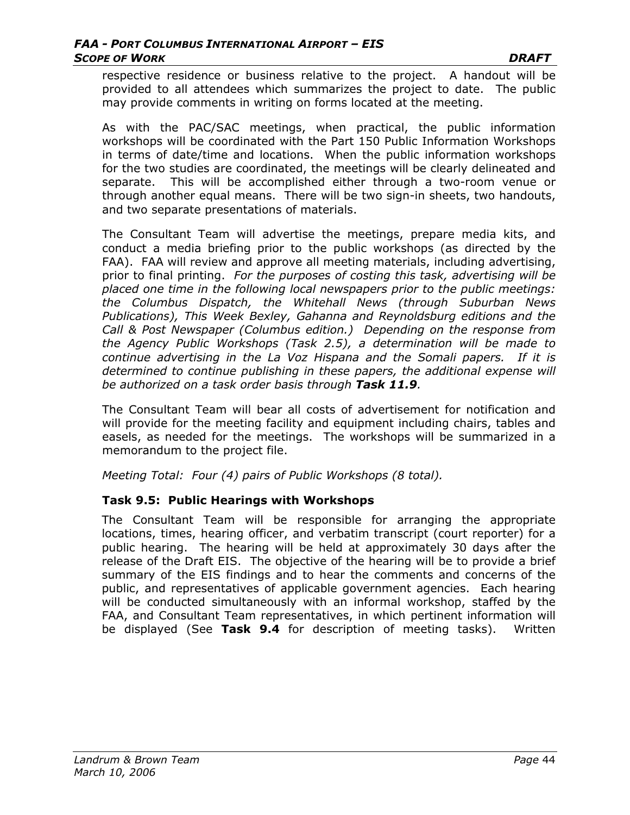respective residence or business relative to the project. A handout will be provided to all attendees which summarizes the project to date. The public may provide comments in writing on forms located at the meeting.

As with the PAC/SAC meetings, when practical, the public information workshops will be coordinated with the Part 150 Public Information Workshops in terms of date/time and locations. When the public information workshops for the two studies are coordinated, the meetings will be clearly delineated and separate. This will be accomplished either through a two-room venue or through another equal means. There will be two sign-in sheets, two handouts, and two separate presentations of materials.

The Consultant Team will advertise the meetings, prepare media kits, and conduct a media briefing prior to the public workshops (as directed by the FAA). FAA will review and approve all meeting materials, including advertising, prior to final printing. *For the purposes of costing this task, advertising will be placed one time in the following local newspapers prior to the public meetings: the Columbus Dispatch, the Whitehall News (through Suburban News Publications), This Week Bexley, Gahanna and Reynoldsburg editions and the Call & Post Newspaper (Columbus edition.) Depending on the response from the Agency Public Workshops (Task 2.5), a determination will be made to continue advertising in the La Voz Hispana and the Somali papers. If it is determined to continue publishing in these papers, the additional expense will be authorized on a task order basis through Task 11.9.* 

The Consultant Team will bear all costs of advertisement for notification and will provide for the meeting facility and equipment including chairs, tables and easels, as needed for the meetings. The workshops will be summarized in a memorandum to the project file.

*Meeting Total: Four (4) pairs of Public Workshops (8 total).* 

### **Task 9.5: Public Hearings with Workshops**

The Consultant Team will be responsible for arranging the appropriate locations, times, hearing officer, and verbatim transcript (court reporter) for a public hearing. The hearing will be held at approximately 30 days after the release of the Draft EIS. The objective of the hearing will be to provide a brief summary of the EIS findings and to hear the comments and concerns of the public, and representatives of applicable government agencies. Each hearing will be conducted simultaneously with an informal workshop, staffed by the FAA, and Consultant Team representatives, in which pertinent information will be displayed (See **Task 9.4** for description of meeting tasks). Written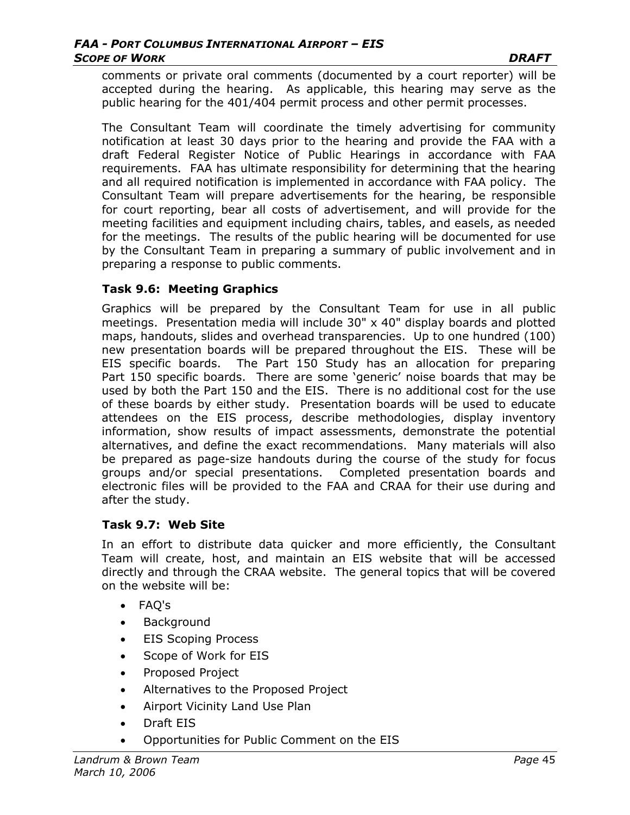comments or private oral comments (documented by a court reporter) will be accepted during the hearing. As applicable, this hearing may serve as the public hearing for the 401/404 permit process and other permit processes.

The Consultant Team will coordinate the timely advertising for community notification at least 30 days prior to the hearing and provide the FAA with a draft Federal Register Notice of Public Hearings in accordance with FAA requirements. FAA has ultimate responsibility for determining that the hearing and all required notification is implemented in accordance with FAA policy. The Consultant Team will prepare advertisements for the hearing, be responsible for court reporting, bear all costs of advertisement, and will provide for the meeting facilities and equipment including chairs, tables, and easels, as needed for the meetings. The results of the public hearing will be documented for use by the Consultant Team in preparing a summary of public involvement and in preparing a response to public comments.

### **Task 9.6: Meeting Graphics**

Graphics will be prepared by the Consultant Team for use in all public meetings. Presentation media will include 30" x 40" display boards and plotted maps, handouts, slides and overhead transparencies. Up to one hundred (100) new presentation boards will be prepared throughout the EIS. These will be EIS specific boards. The Part 150 Study has an allocation for preparing Part 150 specific boards. There are some 'generic' noise boards that may be used by both the Part 150 and the EIS. There is no additional cost for the use of these boards by either study. Presentation boards will be used to educate attendees on the EIS process, describe methodologies, display inventory information, show results of impact assessments, demonstrate the potential alternatives, and define the exact recommendations. Many materials will also be prepared as page-size handouts during the course of the study for focus groups and/or special presentations. Completed presentation boards and electronic files will be provided to the FAA and CRAA for their use during and after the study.

#### **Task 9.7: Web Site**

In an effort to distribute data quicker and more efficiently, the Consultant Team will create, host, and maintain an EIS website that will be accessed directly and through the CRAA website. The general topics that will be covered on the website will be:

- FAQ's
- Background
- EIS Scoping Process
- Scope of Work for EIS
- Proposed Project
- Alternatives to the Proposed Project
- Airport Vicinity Land Use Plan
- Draft EIS
- Opportunities for Public Comment on the EIS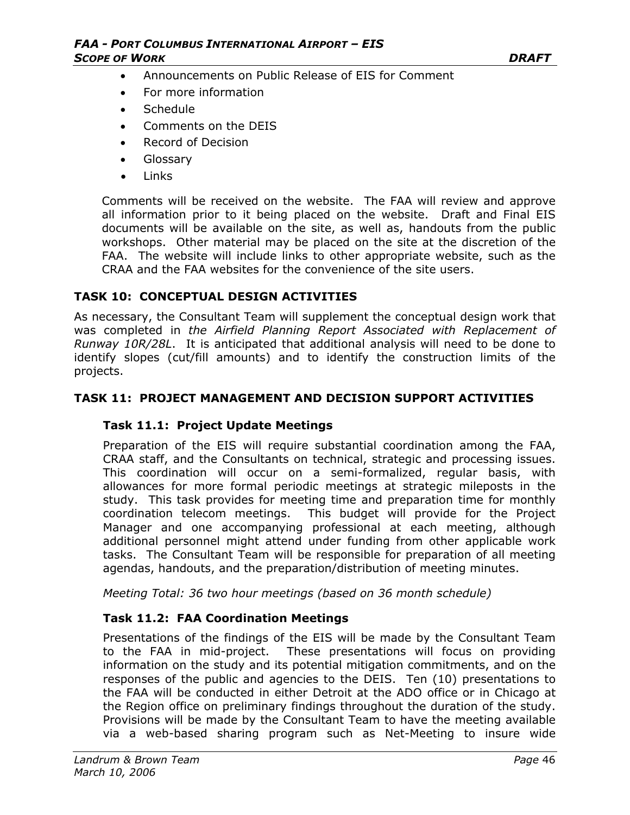- Announcements on Public Release of EIS for Comment
- For more information
- Schedule
- Comments on the DEIS
- Record of Decision
- Glossary
- Links

Comments will be received on the website. The FAA will review and approve all information prior to it being placed on the website. Draft and Final EIS documents will be available on the site, as well as, handouts from the public workshops. Other material may be placed on the site at the discretion of the FAA. The website will include links to other appropriate website, such as the CRAA and the FAA websites for the convenience of the site users.

### **TASK 10: CONCEPTUAL DESIGN ACTIVITIES**

As necessary, the Consultant Team will supplement the conceptual design work that was completed in *the Airfield Planning Report Associated with Replacement of Runway 10R/28L*. It is anticipated that additional analysis will need to be done to identify slopes (cut/fill amounts) and to identify the construction limits of the projects.

#### **TASK 11: PROJECT MANAGEMENT AND DECISION SUPPORT ACTIVITIES**

### **Task 11.1: Project Update Meetings**

Preparation of the EIS will require substantial coordination among the FAA, CRAA staff, and the Consultants on technical, strategic and processing issues. This coordination will occur on a semi-formalized, regular basis, with allowances for more formal periodic meetings at strategic mileposts in the study. This task provides for meeting time and preparation time for monthly coordination telecom meetings. This budget will provide for the Project Manager and one accompanying professional at each meeting, although additional personnel might attend under funding from other applicable work tasks. The Consultant Team will be responsible for preparation of all meeting agendas, handouts, and the preparation/distribution of meeting minutes.

*Meeting Total: 36 two hour meetings (based on 36 month schedule)* 

### **Task 11.2: FAA Coordination Meetings**

Presentations of the findings of the EIS will be made by the Consultant Team to the FAA in mid-project. These presentations will focus on providing information on the study and its potential mitigation commitments, and on the responses of the public and agencies to the DEIS. Ten (10) presentations to the FAA will be conducted in either Detroit at the ADO office or in Chicago at the Region office on preliminary findings throughout the duration of the study. Provisions will be made by the Consultant Team to have the meeting available via a web-based sharing program such as Net-Meeting to insure wide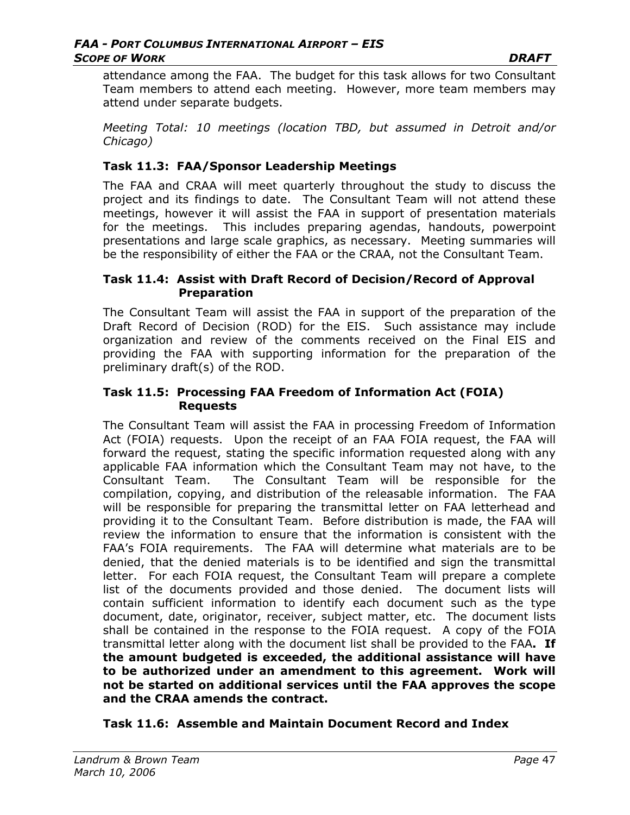attendance among the FAA. The budget for this task allows for two Consultant Team members to attend each meeting. However, more team members may attend under separate budgets.

*Meeting Total: 10 meetings (location TBD, but assumed in Detroit and/or Chicago)*

#### **Task 11.3: FAA/Sponsor Leadership Meetings**

The FAA and CRAA will meet quarterly throughout the study to discuss the project and its findings to date. The Consultant Team will not attend these meetings, however it will assist the FAA in support of presentation materials for the meetings. This includes preparing agendas, handouts, powerpoint presentations and large scale graphics, as necessary. Meeting summaries will be the responsibility of either the FAA or the CRAA, not the Consultant Team.

#### **Task 11.4: Assist with Draft Record of Decision/Record of Approval Preparation**

The Consultant Team will assist the FAA in support of the preparation of the Draft Record of Decision (ROD) for the EIS. Such assistance may include organization and review of the comments received on the Final EIS and providing the FAA with supporting information for the preparation of the preliminary draft(s) of the ROD.

#### **Task 11.5: Processing FAA Freedom of Information Act (FOIA) Requests**

The Consultant Team will assist the FAA in processing Freedom of Information Act (FOIA) requests. Upon the receipt of an FAA FOIA request, the FAA will forward the request, stating the specific information requested along with any applicable FAA information which the Consultant Team may not have, to the Consultant Team. The Consultant Team will be responsible for the compilation, copying, and distribution of the releasable information. The FAA will be responsible for preparing the transmittal letter on FAA letterhead and providing it to the Consultant Team. Before distribution is made, the FAA will review the information to ensure that the information is consistent with the FAA's FOIA requirements. The FAA will determine what materials are to be denied, that the denied materials is to be identified and sign the transmittal letter. For each FOIA request, the Consultant Team will prepare a complete list of the documents provided and those denied. The document lists will contain sufficient information to identify each document such as the type document, date, originator, receiver, subject matter, etc. The document lists shall be contained in the response to the FOIA request. A copy of the FOIA transmittal letter along with the document list shall be provided to the FAA**. If the amount budgeted is exceeded, the additional assistance will have to be authorized under an amendment to this agreement. Work will not be started on additional services until the FAA approves the scope and the CRAA amends the contract.** 

### **Task 11.6: Assemble and Maintain Document Record and Index**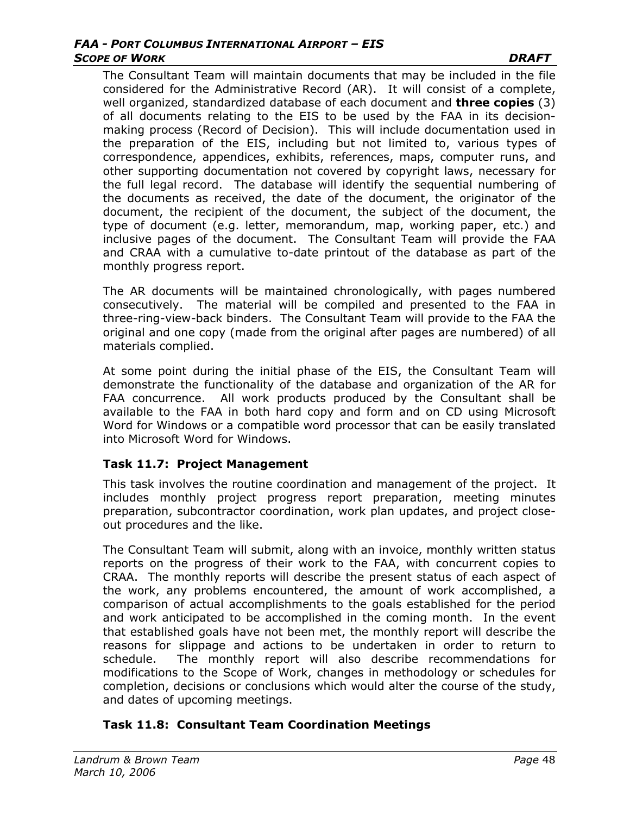The Consultant Team will maintain documents that may be included in the file considered for the Administrative Record (AR). It will consist of a complete, well organized, standardized database of each document and **three copies** (3) of all documents relating to the EIS to be used by the FAA in its decisionmaking process (Record of Decision). This will include documentation used in the preparation of the EIS, including but not limited to, various types of correspondence, appendices, exhibits, references, maps, computer runs, and other supporting documentation not covered by copyright laws, necessary for the full legal record. The database will identify the sequential numbering of the documents as received, the date of the document, the originator of the document, the recipient of the document, the subject of the document, the type of document (e.g. letter, memorandum, map, working paper, etc.) and inclusive pages of the document. The Consultant Team will provide the FAA and CRAA with a cumulative to-date printout of the database as part of the monthly progress report.

The AR documents will be maintained chronologically, with pages numbered consecutively. The material will be compiled and presented to the FAA in three-ring-view-back binders. The Consultant Team will provide to the FAA the original and one copy (made from the original after pages are numbered) of all materials complied.

At some point during the initial phase of the EIS, the Consultant Team will demonstrate the functionality of the database and organization of the AR for FAA concurrence. All work products produced by the Consultant shall be available to the FAA in both hard copy and form and on CD using Microsoft Word for Windows or a compatible word processor that can be easily translated into Microsoft Word for Windows.

### **Task 11.7: Project Management**

This task involves the routine coordination and management of the project. It includes monthly project progress report preparation, meeting minutes preparation, subcontractor coordination, work plan updates, and project closeout procedures and the like.

The Consultant Team will submit, along with an invoice, monthly written status reports on the progress of their work to the FAA, with concurrent copies to CRAA. The monthly reports will describe the present status of each aspect of the work, any problems encountered, the amount of work accomplished, a comparison of actual accomplishments to the goals established for the period and work anticipated to be accomplished in the coming month. In the event that established goals have not been met, the monthly report will describe the reasons for slippage and actions to be undertaken in order to return to schedule. The monthly report will also describe recommendations for modifications to the Scope of Work, changes in methodology or schedules for completion, decisions or conclusions which would alter the course of the study, and dates of upcoming meetings.

## **Task 11.8: Consultant Team Coordination Meetings**